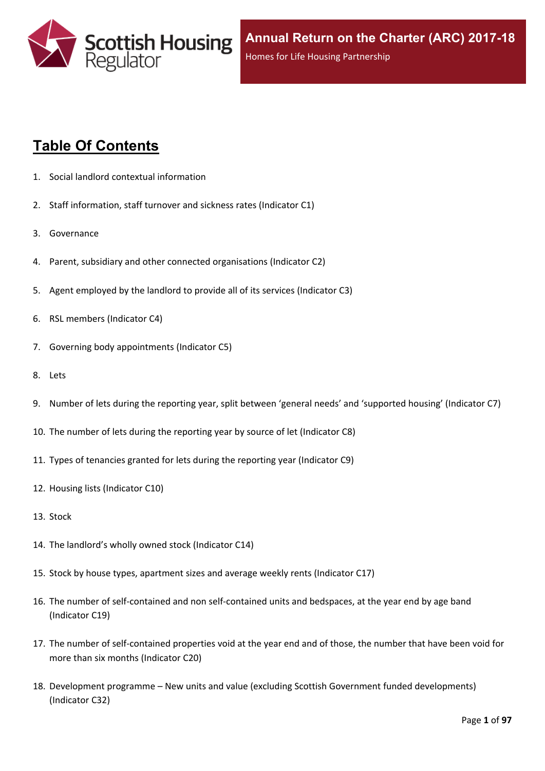

# **Table Of Contents**

- 1. Social landlord contextual [information](#page-5-0)
- 2. Staff [information,](#page-6-0) staff turnover and sickness rates (Indicator C1)
- 3. [Governance](#page-8-0)
- 4. Parent, subsidiary and other connected [organisations](#page-9-0) (Indicator C2)
- 5. Agent [employed](#page-10-0) by the landlord to provide all of its services (Indicator C3)
- 6. RSL members [\(Indicator](#page-11-0) C4)
- 7. Governing body [appointments](#page-12-0) (Indicator C5)
- 8. [Lets](#page-13-0)
- 9. Number of lets during the reporting year, split between 'general needs' and ['supported](#page-14-0) housing' (Indicator C7)
- 10. The number of lets during the reporting year by source of let [\(Indicator](#page-15-0) C8)
- 11. Types of tenancies granted for lets during the reporting year [\(Indicator](#page-16-0) C9)
- 12. Housing lists [\(Indicator](#page-17-0) C10)
- 13. [Stock](#page-18-0)
- 14. The [landlord's](#page-19-0) wholly owned stock (Indicator C14)
- 15. Stock by house types, [apartment](#page-20-0) sizes and average weekly rents (Indicator C17)
- 16. The number of self-contained and non [self-contained](#page-21-0) units and bedspaces, at the year end by age band [\(Indicator](#page-21-0) C19)
- 17. The number of [self-contained](#page-22-0) properties void at the year end and of those, the number that have been void for more than six months [\(Indicator](#page-22-0) C20)
- 18. [Development](#page-23-0) programme [–](#page-23-0) New units and value (excluding Scottish Government funded [developments\)](#page-23-0) [\(Indicator](#page-23-0) C32)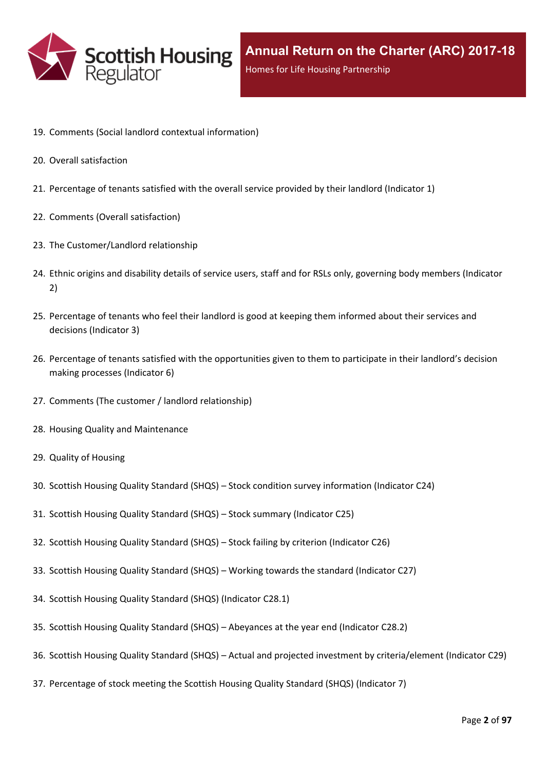

- 19. Comments (Social landlord contextual [information\)](#page-25-0)
- 20. Overall [satisfaction](#page-26-0)
- 21. [Percentage](#page-27-0) of tenants satisfied with the overall service provided by their landlord (Indicator 1)
- 22. Comments (Overall [satisfaction\)](#page-29-0)
- 23. The [Customer/Landlord](#page-30-0) relationship
- 24. Ethnic origins and disability details of service users, staff and for RSLs only, [governing](#page-31-0) body members (Indicator [2\)](#page-31-0)
- 25. [Percentage](#page-33-0) of tenants who feel their landlord is good at keeping them informed about their services and [decisions](#page-33-0) [\(Indicator](#page-33-0) 3)
- 26. Percentage of tenants satisfied with the [opportunities](#page-34-0) given to them to participate in their landlord's decision making [processes](#page-34-0) (Indicator 6)
- 27. Comments (The customer / landlord [relationship\)](#page-35-0)
- 28. Housing Quality and [Maintenance](#page-36-0)
- 29. Quality of [Housing](#page-37-0)
- 30. Scottish Housing Quality [Standard](#page-38-0) (SHQS) [–](#page-38-0) Stock condition survey [information](#page-38-0) (Indicator C24)
- 31. Scottish Housing Quality [Standard](#page-40-0) (SHQS) [–](#page-40-0) Stock summary [\(Indicator](#page-40-0) C25)
- 32. Scottish Housing Quality [Standard](#page-42-0) (SHQS) [–](#page-42-0) Stock failing by criterion [\(Indicator](#page-42-0) C26)
- 33. Scottish Housing Quality [Standard](#page-43-0) (SHQS) [–](#page-43-0) Working towards the standard [\(Indicator](#page-43-0) C27)
- 34. Scottish Housing Quality Standard (SHQS) [\(Indicator](#page-44-0) C28.1)
- 35. Scottish Housing Quality [Standard](#page-45-0) (SHQS) [–](#page-45-0) [Abeyances](#page-45-0) at the year end (Indicator C28.2)
- 36. Scottish Housing Quality [Standard](#page-46-0) (SHQS) [–](#page-46-0) Actual and projected investment by [criteria/element](#page-46-0) (Indicator C29)
- 37. [Percentage](#page-47-0) of stock meeting the Scottish Housing Quality Standard (SHQS) (Indicator 7)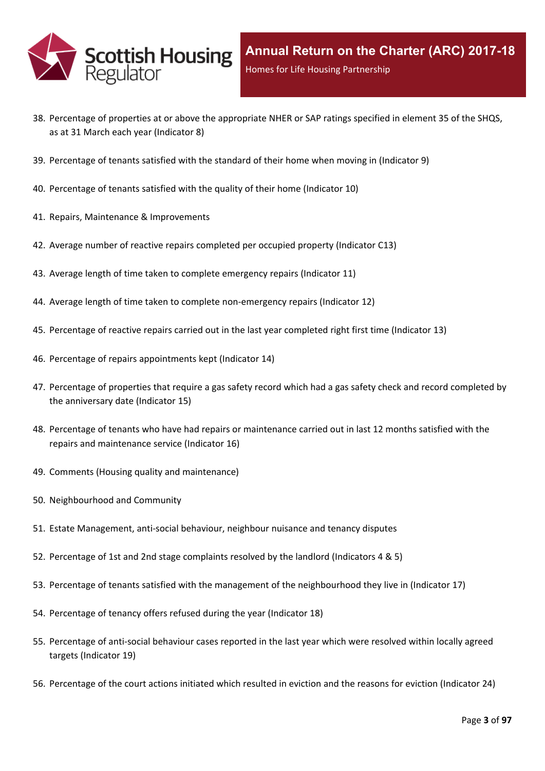

- 38. Percentage of properties at or above the [appropriate](#page-48-0) NHER or SAP ratings specified in element 35 of the SHQS, as at 31 March each year [\(Indicator](#page-48-0) 8)
- 39. [Percentage](#page-49-0) of tenants satisfied with the standard of their home when moving in (Indicator 9)
- 40. [Percentage](#page-50-0) of tenants satisfied with the quality of their home (Indicator 10)
- 41. Repairs, Maintenance & [Improvements](#page-51-0)
- 42. Average number of reactive repairs [completed](#page-52-0) per occupied property (Indicator C13)
- 43. Average length of time taken to complete [emergency](#page-53-0) repairs (Indicator 11)
- 44. Average length of time taken to complete [non-emergency](#page-54-0) repairs (Indicator 12)
- 45. [Percentage](#page-55-0) of reactive repairs carried out in the last year completed right first time (Indicator 13)
- 46. Percentage of repairs [appointments](#page-56-0) kept (Indicator 14)
- 47. [Percentage](#page-57-0) of properties that require a gas safety record which had a gas safety check and record completed by the [anniversary](#page-57-0) date (Indicator 15)
- 48. Percentage of tenants who have had repairs or [maintenance](#page-58-0) carried out in last 12 months satisfied with the repairs and [maintenance](#page-58-0) service (Indicator 16)
- 49. Comments (Housing quality and [maintenance\)](#page-59-0)
- 50. [Neighbourhood](#page-60-0) and Community
- 51. Estate [Management,](#page-61-0) anti-social behaviour, neighbour nuisance and tenancy disputes
- 52. [Percentage](#page-62-0) of 1st and 2nd stage complaints resolved by the landlord (Indicators 4 & 5)
- 53. Percentage of tenants satisfied with the management of the [neighbourhood](#page-65-0) they live in (Indicator 17)
- 54. [Percentage](#page-66-0) of tenancy offers refused during the year (Indicator 18)
- 55. [Percentage](#page-67-0) of anti-social behaviour cases reported in the last year which were resolved within locally agreed targets [\(Indicator](#page-67-0) 19)
- 56. [Percentage](#page-68-0) of the court actions initiated which resulted in eviction and the reasons for eviction (Indicator 24)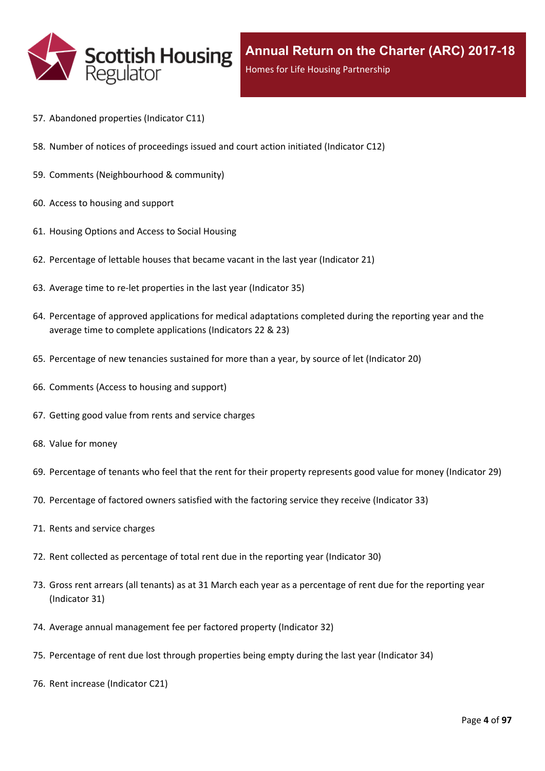

- 57. [Abandoned](#page-69-0) properties (Indicator C11)
- 58. Number of notices of [proceedings](#page-70-0) issued and court action initiated (Indicator C12)
- 59. Comments [\(Neighbourhood](#page-71-0) & community)
- 60. Access to [housing](#page-72-0) and support
- 61. [Housing](#page-73-0) Options and Access to Social Housing
- 62. [Percentage](#page-74-0) of lettable houses that became vacant in the last year (Indicator 21)
- 63. Average time to re-let [properties](#page-75-0) in the last year (Indicator 35)
- 64. Percentage of approved [applications](#page-76-0) for medical adaptations completed during the reporting year and the average time to complete [applications](#page-76-0) (Indicators 22 & 23)
- 65. [Percentage](#page-77-0) of new tenancies sustained for more than a year, by source of let (Indicator 20)
- 66. [Comments](#page-79-0) (Access to housing and support)
- 67. Getting good value from rents and service [charges](#page-80-0)
- 68. Value for [money](#page-81-0)
- 69. [Percentage](#page-82-0) of tenants who feel that the rent for their property represents good value for money (Indicator 29)
- 70. [Percentage](#page-83-0) of factored owners satisfied with the factoring service they receive (Indicator 33)
- 71. Rents and service [charges](#page-84-0)
- 72. Rent collected as [percentage](#page-85-0) of total rent due in the reporting year (Indicator 30)
- 73. Gross rent arrears (all tenants) as at 31 March each year as a [percentage](#page-86-0) of rent due for the reporting year [\(Indicator](#page-86-0) 31)
- 74. Average annual [management](#page-87-0) fee per factored property (Indicator 32)
- 75. [Percentage](#page-88-0) of rent due lost through properties being empty during the last year (Indicator 34)
- 76. Rent increase [\(Indicator](#page-89-0) C21)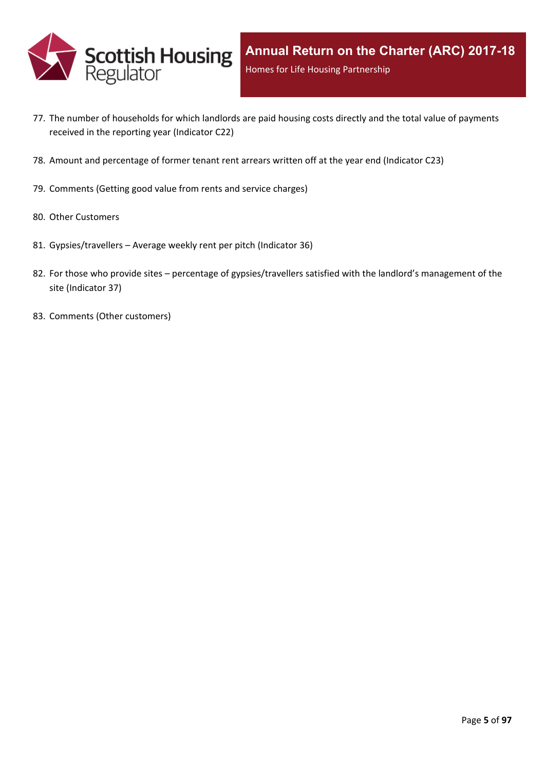

- 77. The number of [households](#page-90-0) for which landlords are paid housing costs directly and the total value of payments received in the reporting year [\(Indicator](#page-90-0) C22)
- 78. Amount and [percentage](#page-91-0) of former tenant rent arrears written off at the year end (Indicator C23)
- 79. [Comments](#page-92-0) (Getting good value from rents and service charges)
- 80. Other [Customers](#page-93-0)
- 81. [Gypsies/travellers](#page-94-0) [–](#page-94-0) Average weekly rent per pitch [\(Indicator](#page-94-0) 36)
- 82. For those who [provide](#page-95-0) sites [–](#page-95-0) percentage of [gypsies/travellers](#page-95-0) satisfied with the landlord's management of the site [\(Indicator](#page-95-0) 37)
- 83. Comments (Other [customers\)](#page-96-0)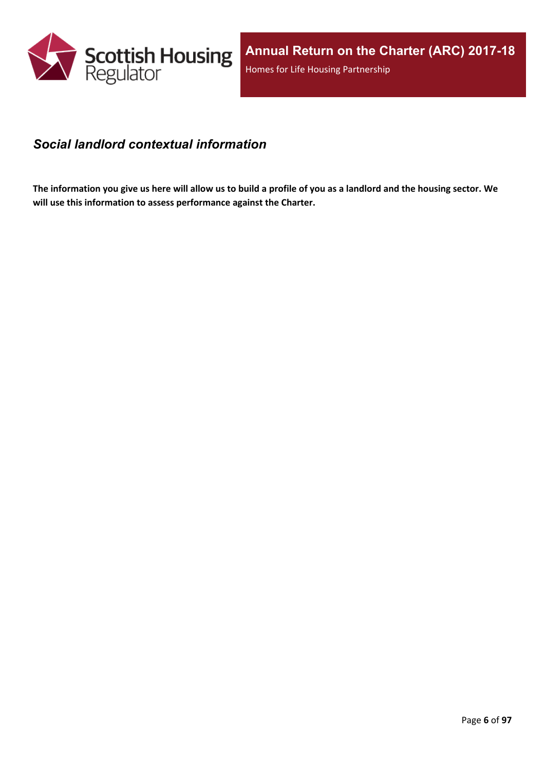

### <span id="page-5-0"></span>*Social landlord contextual information*

The information you give us here will allow us to build a profile of you as a landlord and the housing sector. We **will use this information to assess performance against the Charter.**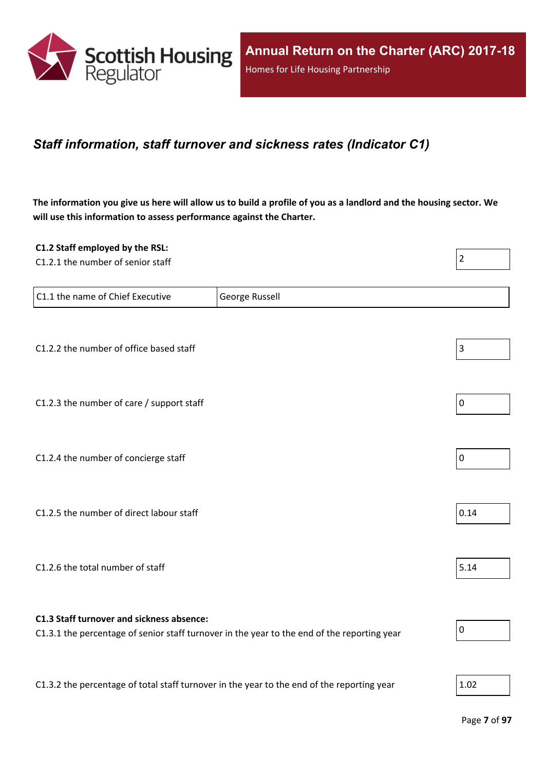

### <span id="page-6-0"></span>*Staff information, staff turnover and sickness rates (Indicator C1)*

The information you give us here will allow us to build a profile of you as a landlord and the housing sector. We **will use this information to assess performance against the Charter.**

| C1.2 Staff employed by the RSL:<br>C1.2.1 the number of senior staff                       |                                                                                             | $\overline{2}$   |
|--------------------------------------------------------------------------------------------|---------------------------------------------------------------------------------------------|------------------|
| C1.1 the name of Chief Executive                                                           | George Russell                                                                              |                  |
| C1.2.2 the number of office based staff                                                    |                                                                                             | 3                |
| C1.2.3 the number of care / support staff                                                  |                                                                                             | $\boldsymbol{0}$ |
| C1.2.4 the number of concierge staff                                                       |                                                                                             | $\pmb{0}$        |
| C1.2.5 the number of direct labour staff                                                   |                                                                                             | 0.14             |
| C1.2.6 the total number of staff                                                           |                                                                                             | 5.14             |
| C1.3 Staff turnover and sickness absence:                                                  | C1.3.1 the percentage of senior staff turnover in the year to the end of the reporting year | $\pmb{0}$        |
| C1.3.2 the percentage of total staff turnover in the year to the end of the reporting year |                                                                                             | 1.02             |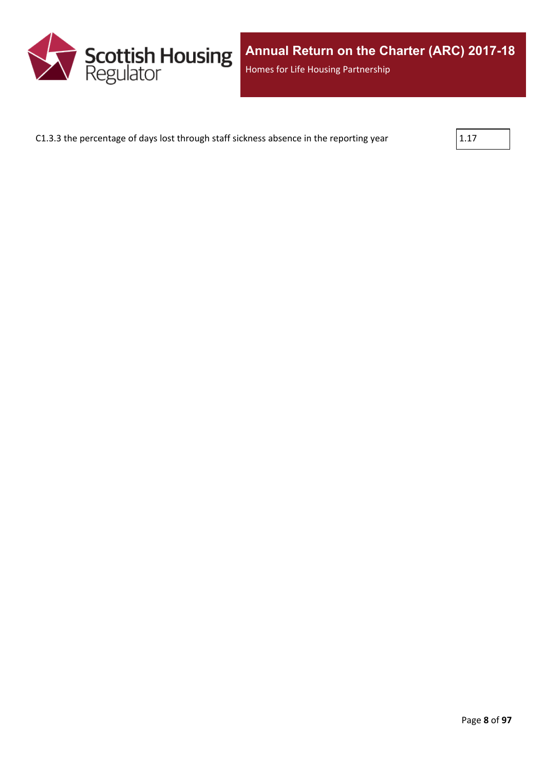

C1.3.3 the percentage of days lost through staff sickness absence in the reporting year  $\vert$ 1.17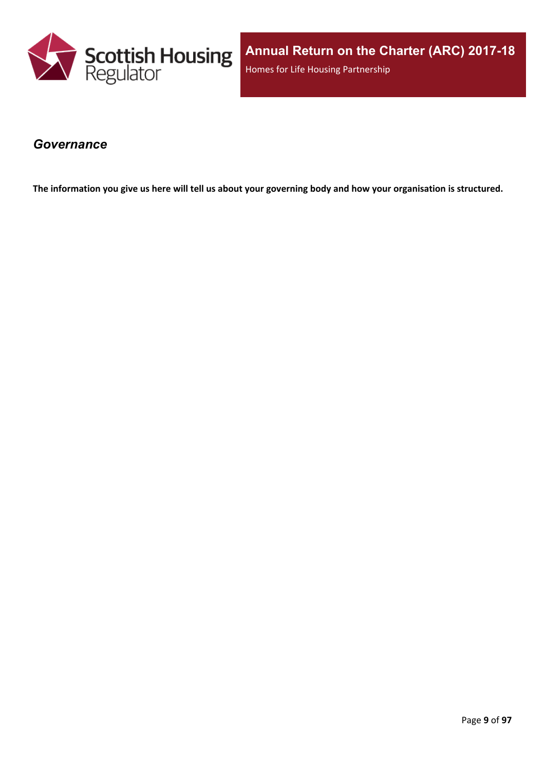

**Annual Return on the Charter (ARC) 2017-18** Homes for Life Housing Partnership

### <span id="page-8-0"></span>*Governance*

The information you give us here will tell us about your governing body and how your organisation is structured.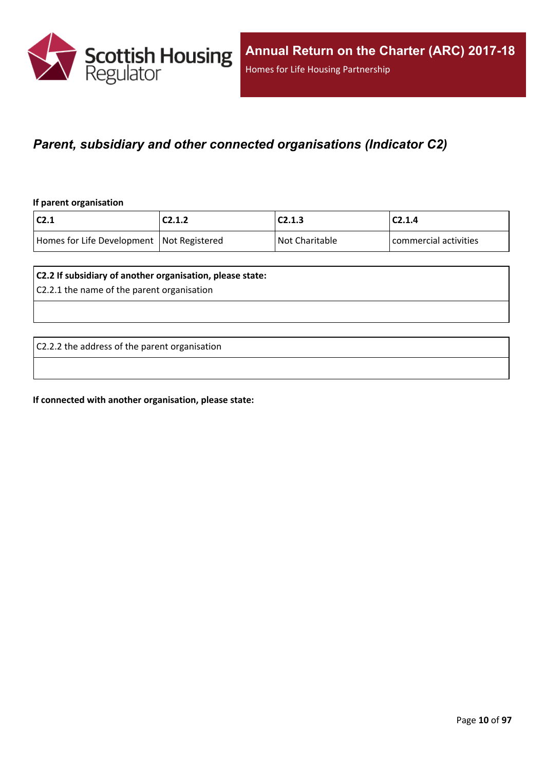

### <span id="page-9-0"></span>*Parent, subsidiary and other connected organisations (Indicator C2)*

#### **If parent organisation**

| $\mathsf{C2.1}$                             | C2.1.2 | C2.1.3         | C2.1.4                |
|---------------------------------------------|--------|----------------|-----------------------|
| Homes for Life Development   Not Registered |        | Not Charitable | commercial activities |

#### **C2.2 If subsidiary of another organisation, please state:**

C2.2.1 the name of the parent organisation

C2.2.2 the address of the parent organisation

**If connected with another organisation, please state:**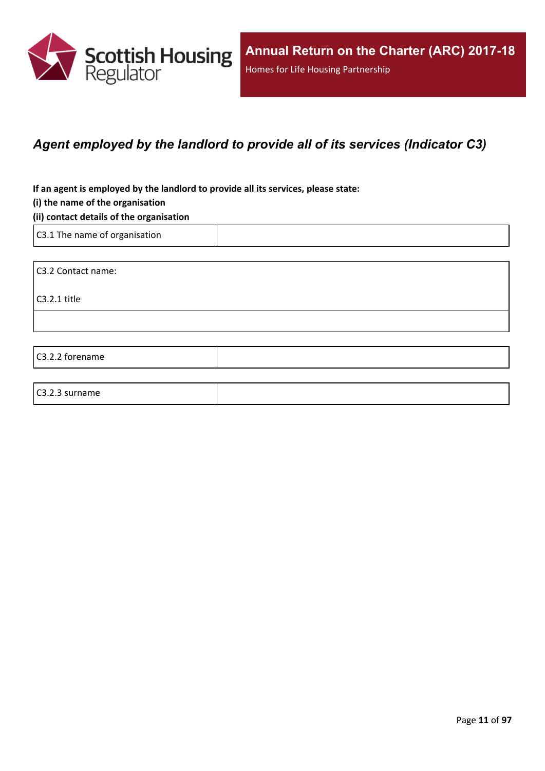

### <span id="page-10-0"></span>*Agent employed by the landlord to provide all of its services (Indicator C3)*

**If an agent is employed by the landlord to provide all its services, please state:**

#### **(i) the name of the organisation**

#### **(ii) contact details of the organisation**

C3.1 The name of organisation

C3.2 Contact name:

C3.2.1 title

C3.2.2 forename

#### C3.2.3 surname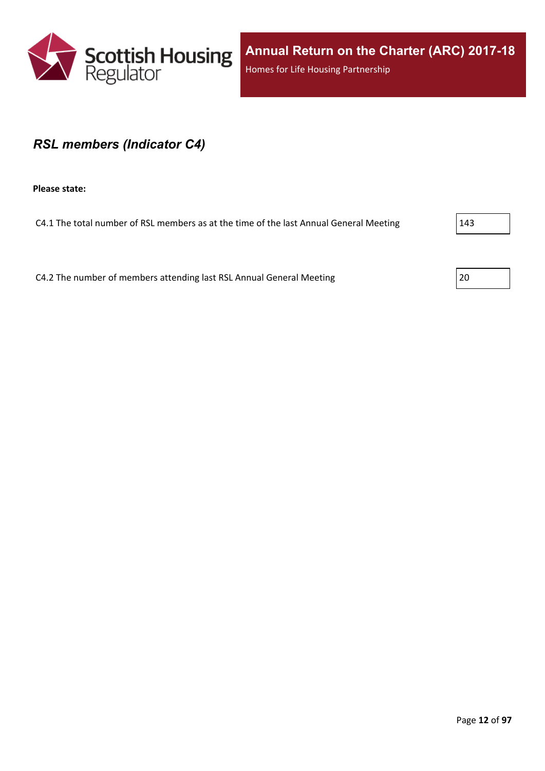

**Annual Return on the Charter (ARC) 2017-18** Homes for Life Housing Partnership

### <span id="page-11-0"></span>*RSL members (Indicator C4)*

**Please state:**

C4.1 The total number of RSL members as at the time of the last Annual General Meeting 2143

C4.2 The number of members attending last RSL Annual General Meeting 20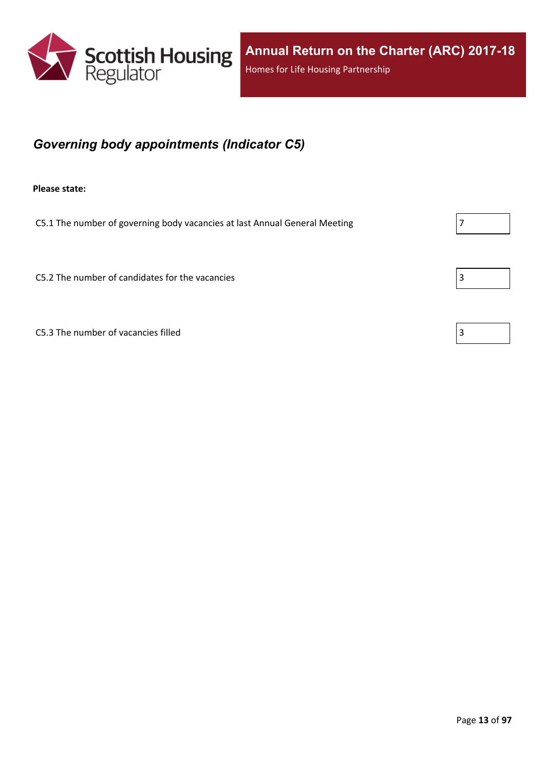

## <span id="page-12-0"></span>*Governing body appointments (Indicator C5)*

**Please state:**

C5.1 The number of governing body vacancies at last Annual General Meeting  $\vert$  7

C5.2 The number of candidates for the vacancies  $\vert$  3

C5.3 The number of vacancies filled  $\sqrt{3}$ 

|--|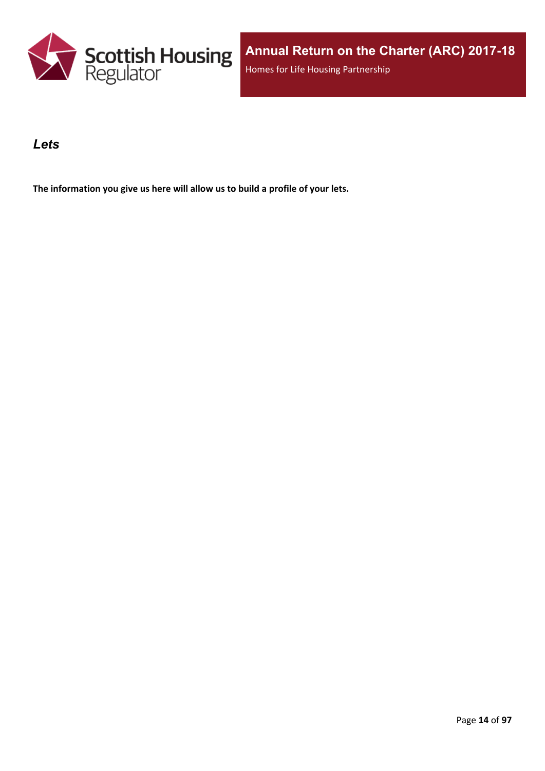

### <span id="page-13-0"></span>*Lets*

**The information you give us here will allow us to build a profile of your lets.**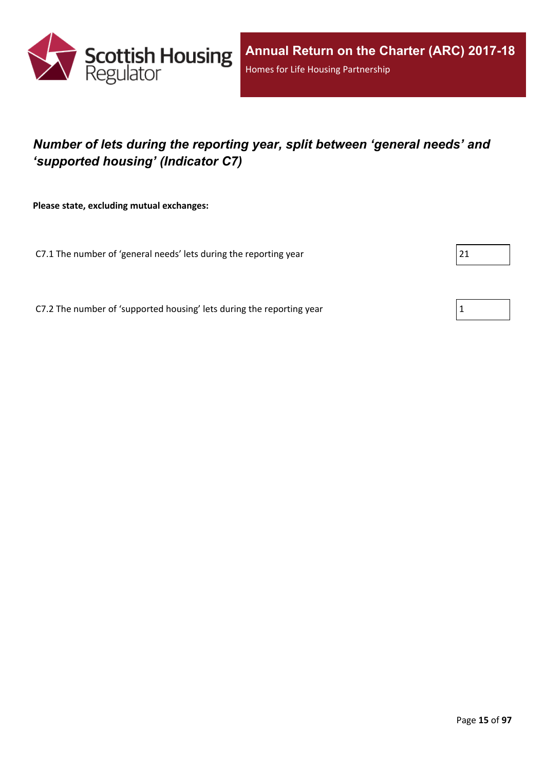

## <span id="page-14-0"></span>*Number of lets during the reporting year, split between 'general needs' and 'supported housing' (Indicator C7)*

**Please state, excluding mutual exchanges:**

C7.1 The number of 'general needs' lets during the reporting year

C7.2 The number of 'supported housing' lets during the reporting year  $1$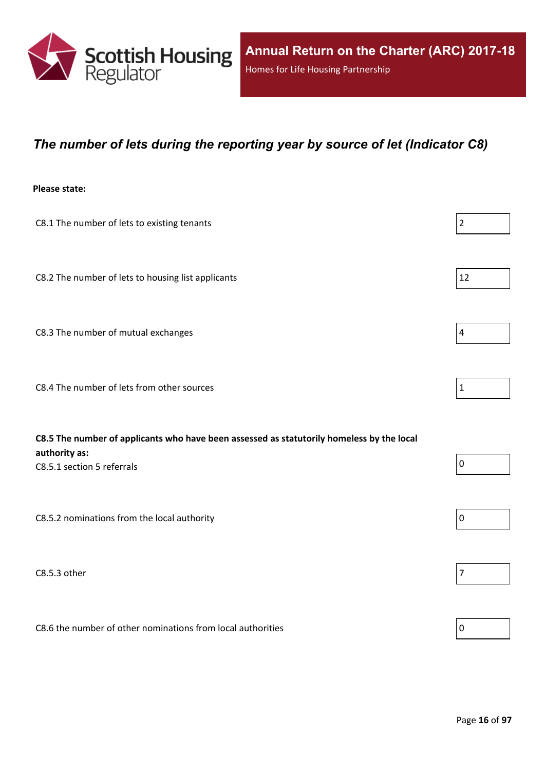

### <span id="page-15-0"></span>*The number of lets during the reporting year by source of let (Indicator C8)*

#### **Please state:**

| C8.1 The number of lets to existing tenants                                                                | $\overline{2}$ |
|------------------------------------------------------------------------------------------------------------|----------------|
| C8.2 The number of lets to housing list applicants                                                         | 12             |
| C8.3 The number of mutual exchanges                                                                        | $\overline{4}$ |
| C8.4 The number of lets from other sources                                                                 | $\mathbf{1}$   |
| C8.5 The number of applicants who have been assessed as statutorily homeless by the local<br>authority as: |                |
| C8.5.1 section 5 referrals                                                                                 | 0              |
| C8.5.2 nominations from the local authority                                                                | $\mathbf 0$    |

 $\Box$ C8.5.3 other  $\vert$  7

C8.6 the number of other nominations from local authorities  $\vert_0$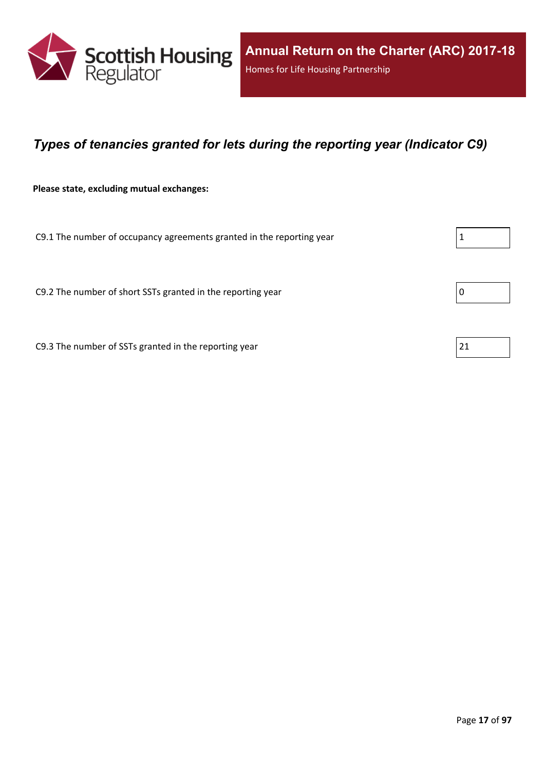

### <span id="page-16-0"></span>*Types of tenancies granted for lets during the reporting year (Indicator C9)*

**Please state, excluding mutual exchanges:**

C9.1 The number of occupancy agreements granted in the reporting year

C9.2 The number of short SSTs granted in the reporting year  $\vert$  0

C9.3 The number of SSTs granted in the reporting year  $21$ 

| 1 |
|---|
|---|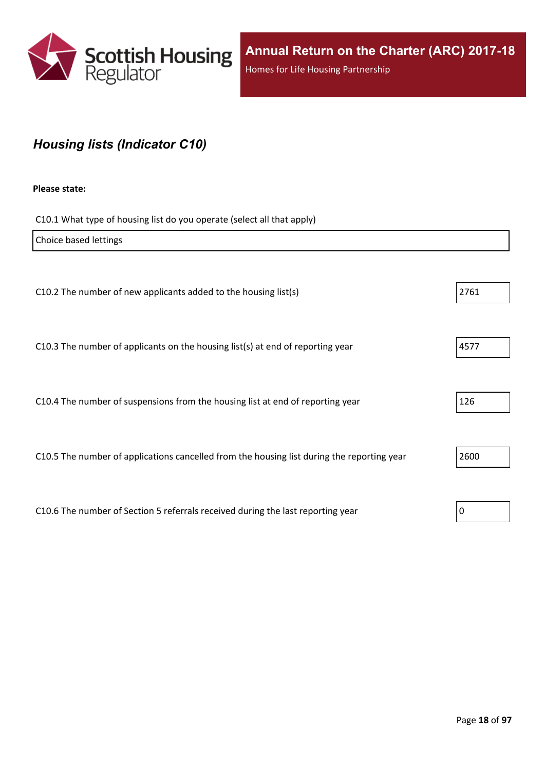

## <span id="page-17-0"></span>*Housing lists (Indicator C10)*

#### **Please state:**

C10.1 What type of housing list do you operate (select all that apply)

| Choice based lettings                                                                      |      |
|--------------------------------------------------------------------------------------------|------|
|                                                                                            |      |
| C10.2 The number of new applicants added to the housing list(s)                            | 2761 |
|                                                                                            |      |
| C10.3 The number of applicants on the housing list(s) at end of reporting year             | 4577 |
|                                                                                            |      |
| C10.4 The number of suspensions from the housing list at end of reporting year             | 126  |
|                                                                                            |      |
| C10.5 The number of applications cancelled from the housing list during the reporting year | 2600 |
|                                                                                            |      |
| C10.6 The number of Section 5 referrals received during the last reporting year            | 0    |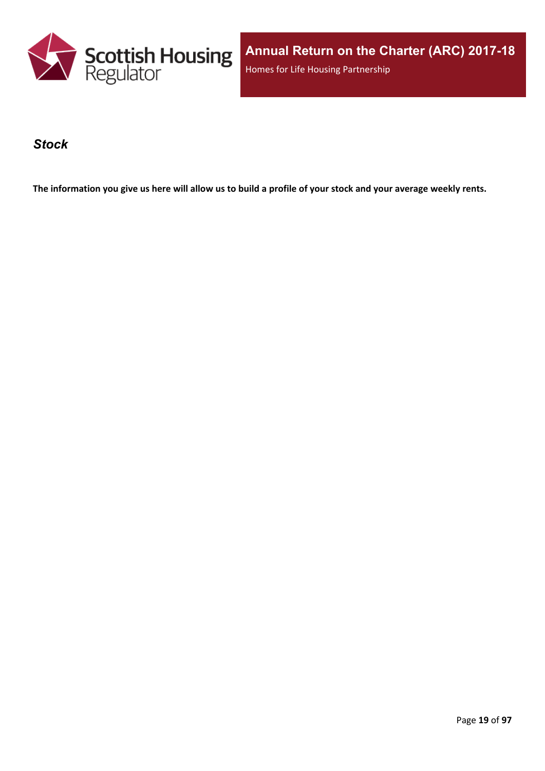

**Annual Return on the Charter (ARC) 2017-18** Homes for Life Housing Partnership

### <span id="page-18-0"></span>*Stock*

The information you give us here will allow us to build a profile of your stock and your average weekly rents.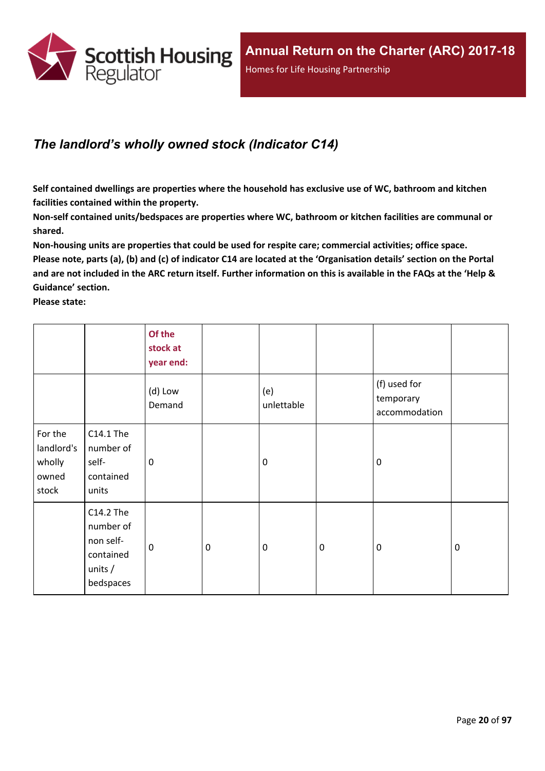

## <span id="page-19-0"></span>*The landlord's wholly owned stock (Indicator C14)*

**Self contained dwellings are properties where the household has exclusive use of WC, bathroom and kitchen facilities contained within the property.**

**Non-self contained units/bedspaces are properties where WC, bathroom or kitchen facilities are communal or shared.**

**Non-housing units are properties that could be used for respite care; commercial activities; office space.** Please note, parts (a), (b) and (c) of indicator C14 are located at the 'Organisation details' section on the Portal and are not included in the ARC return itself. Further information on this is available in the FAQs at the 'Help & **Guidance' section.**

**Please state:**

|                                                   |                                                                            | Of the<br>stock at<br>year end: |                  |                   |           |                                            |             |
|---------------------------------------------------|----------------------------------------------------------------------------|---------------------------------|------------------|-------------------|-----------|--------------------------------------------|-------------|
|                                                   |                                                                            | (d) Low<br>Demand               |                  | (e)<br>unlettable |           | (f) used for<br>temporary<br>accommodation |             |
| For the<br>landlord's<br>wholly<br>owned<br>stock | C14.1 The<br>number of<br>self-<br>contained<br>units                      | 0                               |                  | $\mathbf 0$       |           | $\mathbf 0$                                |             |
|                                                   | C14.2 The<br>number of<br>non self-<br>contained<br>units $/$<br>bedspaces | $\mathbf 0$                     | $\boldsymbol{0}$ | $\boldsymbol{0}$  | $\pmb{0}$ | $\mathbf 0$                                | $\mathbf 0$ |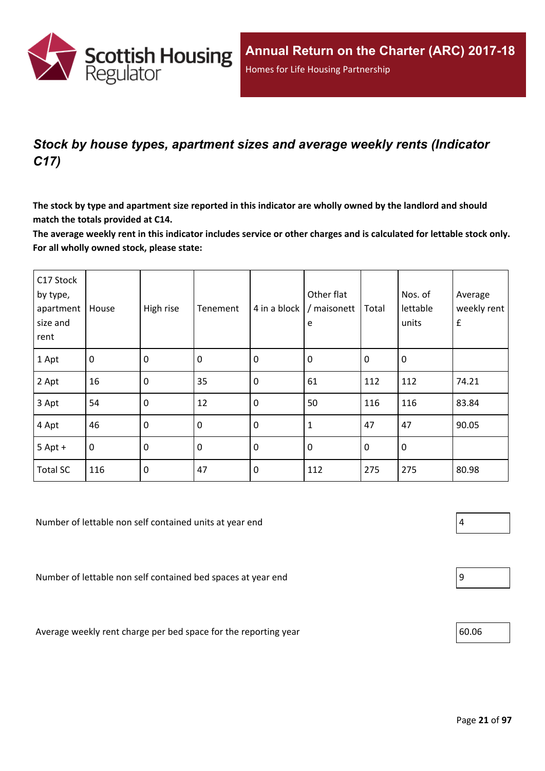

## <span id="page-20-0"></span>*Stock by house types, apartment sizes and average weekly rents (Indicator C17)*

The stock by type and apartment size reported in this indicator are wholly owned by the landlord and should **match the totals provided at C14.**

The average weekly rent in this indicator includes service or other charges and is calculated for lettable stock only. **For all wholly owned stock, please state:**

| C17 Stock<br>by type,<br>apartment<br>size and<br>rent | House          | High rise   | Tenement         | 4 in a block | Other flat<br>/ maisonett<br>e | Total       | Nos. of<br>lettable<br>units | Average<br>weekly rent<br>$\pmb{\mathsf{f}}$ |
|--------------------------------------------------------|----------------|-------------|------------------|--------------|--------------------------------|-------------|------------------------------|----------------------------------------------|
| 1 Apt                                                  | $\overline{0}$ | $\mathbf 0$ | $\boldsymbol{0}$ | $\mathbf 0$  | $\mathbf 0$                    | $\mathbf 0$ | $\mathbf 0$                  |                                              |
| 2 Apt                                                  | 16             | $\mathbf 0$ | 35               | $\mathbf 0$  | 61                             | 112         | 112                          | 74.21                                        |
| 3 Apt                                                  | 54             | $\mathbf 0$ | 12               | $\mathbf 0$  | 50                             | 116         | 116                          | 83.84                                        |
| 4 Apt                                                  | 46             | $\mathbf 0$ | $\mathbf 0$      | $\mathbf 0$  | $\mathbf{1}$                   | 47          | 47                           | 90.05                                        |
| $5$ Apt +                                              | $\overline{0}$ | $\mathbf 0$ | $\mathbf 0$      | $\mathbf 0$  | $\mathbf 0$                    | $\mathbf 0$ | $\mathbf 0$                  |                                              |
| <b>Total SC</b>                                        | 116            | $\mathbf 0$ | 47               | $\mathbf 0$  | 112                            | 275         | 275                          | 80.98                                        |

Number of lettable non self contained units at year end  $\vert 4 \vert$ 

Number of lettable non self contained bed spaces at year end 9

Average weekly rent charge per bed space for the reporting year 60.06



|--|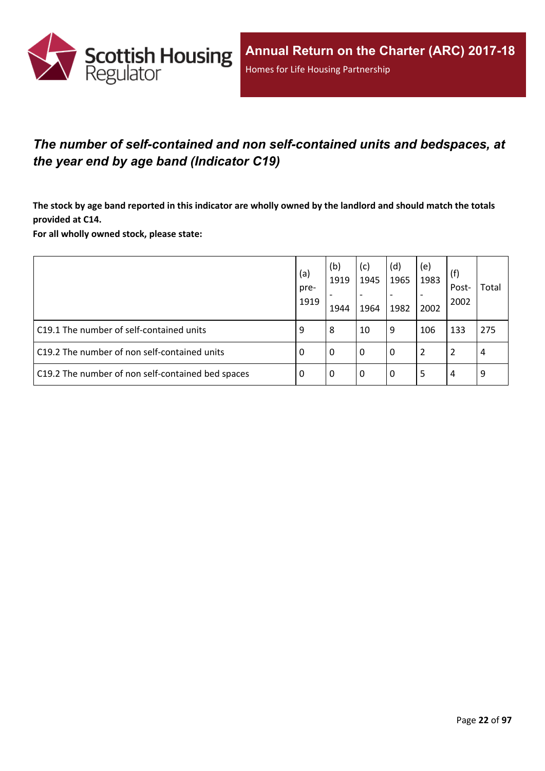

## <span id="page-21-0"></span>*The number of self-contained and non self-contained units and bedspaces, at the year end by age band (Indicator C19)*

The stock by age band reported in this indicator are wholly owned by the landlord and should match the totals **provided at C14.**

**For all wholly owned stock, please state:**

|                                                   | (a)<br>pre-<br>1919 | (b)<br>1919<br>1944 | (c)<br>1945<br>1964 | (d)<br>1965<br>1982 | (e)<br>1983<br>2002 | (f)<br>Post-<br>2002 | Total |
|---------------------------------------------------|---------------------|---------------------|---------------------|---------------------|---------------------|----------------------|-------|
| C19.1 The number of self-contained units          | 9                   | 8                   | 10                  | 9                   | 106                 | 133                  | 275   |
| C19.2 The number of non self-contained units      | 0                   | 0                   | 0                   | 0                   | 2                   | 2                    | 4     |
| C19.2 The number of non self-contained bed spaces | 0                   | 0                   | 0                   | 0                   | 5                   | 4                    | 9     |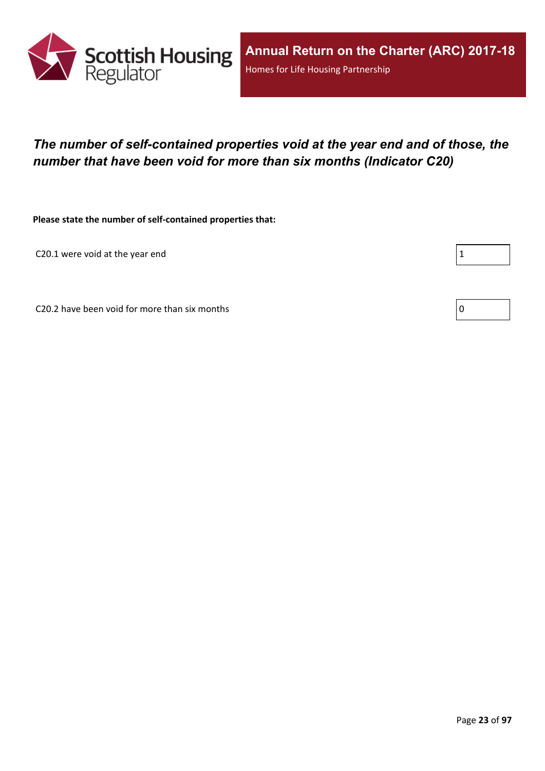

## <span id="page-22-0"></span>*The number of self-contained properties void at the year end and of those, the number that have been void for more than six months (Indicator C20)*

**Please state the number of self-contained properties that:**

C20.1 were void at the year end

Г

C20.2 have been void for more than six months  $\vert 0 \rangle$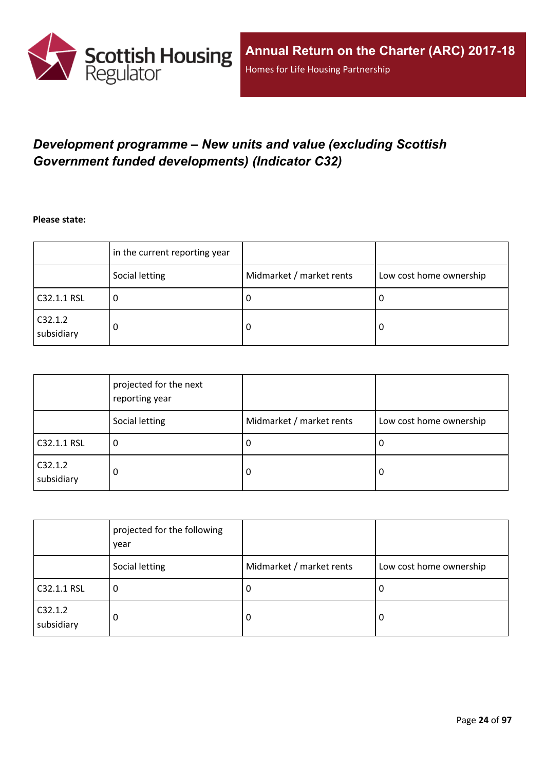

## <span id="page-23-0"></span>*Development programme – New units and value (excluding Scottish Government funded developments) (Indicator C32)*

**Please state:**

|                       | in the current reporting year |                          |                         |
|-----------------------|-------------------------------|--------------------------|-------------------------|
|                       | Social letting                | Midmarket / market rents | Low cost home ownership |
| C32.1.1 RSL           | υ                             | υ                        | ∣U                      |
| C32.1.2<br>subsidiary | 0                             | υ                        | -0                      |

|                       | projected for the next<br>reporting year |                          |                         |
|-----------------------|------------------------------------------|--------------------------|-------------------------|
|                       | Social letting                           | Midmarket / market rents | Low cost home ownership |
| C32.1.1 RSL           | 0                                        | -U                       | 0                       |
| C32.1.2<br>subsidiary | 0                                        | -0                       | 0                       |

|                       | projected for the following<br>year |                          |                         |
|-----------------------|-------------------------------------|--------------------------|-------------------------|
|                       | Social letting                      | Midmarket / market rents | Low cost home ownership |
| C32.1.1 RSL           | 0                                   | -U                       | 0                       |
| C32.1.2<br>subsidiary | 0                                   | 0                        | 0                       |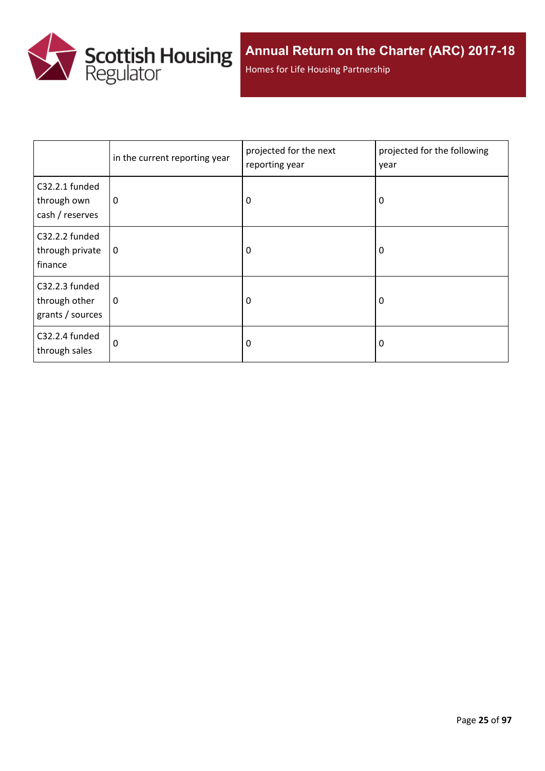

Homes for Life Housing Partnership

|                                                     | in the current reporting year | projected for the next<br>reporting year | projected for the following<br>year |
|-----------------------------------------------------|-------------------------------|------------------------------------------|-------------------------------------|
| C32.2.1 funded<br>through own<br>cash / reserves    | 0                             | 0                                        | 0                                   |
| C32.2.2 funded<br>through private<br>finance        | 0                             | 0                                        | 0                                   |
| C32.2.3 funded<br>through other<br>grants / sources | 0                             | 0                                        | 0                                   |
| C32.2.4 funded<br>through sales                     | $\Omega$                      | 0                                        | 0                                   |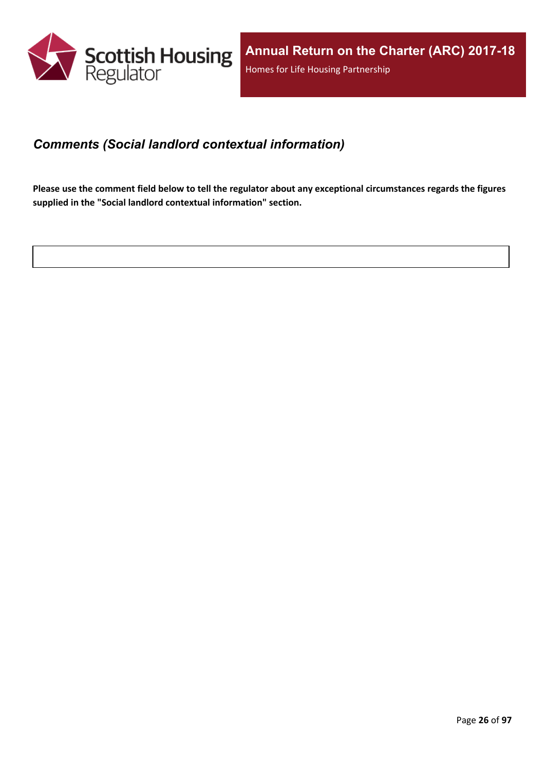

### <span id="page-25-0"></span>*Comments (Social landlord contextual information)*

Please use the comment field below to tell the regulator about any exceptional circumstances regards the figures **supplied in the "Social landlord contextual information" section.**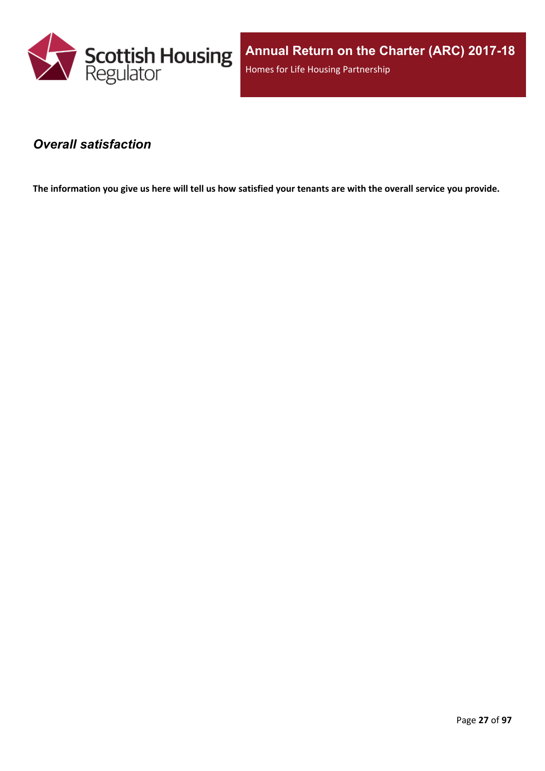

### <span id="page-26-0"></span>*Overall satisfaction*

The information you give us here will tell us how satisfied your tenants are with the overall service you provide.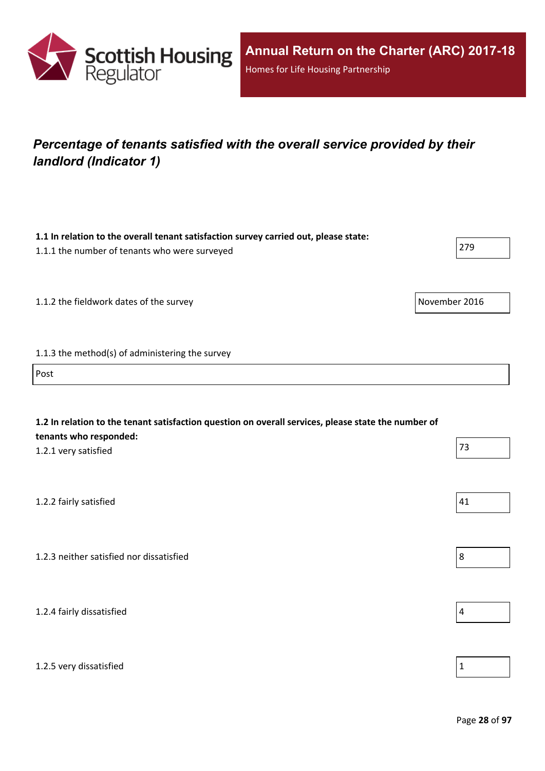

## <span id="page-27-0"></span>*Percentage of tenants satisfied with the overall service provided by their landlord (Indicator 1)*

| 1.1 In relation to the overall tenant satisfaction survey carried out, please state:<br>1.1.1 the number of tenants who were surveyed                 | 279            |
|-------------------------------------------------------------------------------------------------------------------------------------------------------|----------------|
| 1.1.2 the fieldwork dates of the survey                                                                                                               | November 2016  |
| 1.1.3 the method(s) of administering the survey                                                                                                       |                |
| Post                                                                                                                                                  |                |
| 1.2 In relation to the tenant satisfaction question on overall services, please state the number of<br>tenants who responded:<br>1.2.1 very satisfied | 73             |
| 1.2.2 fairly satisfied                                                                                                                                | 41             |
| 1.2.3 neither satisfied nor dissatisfied                                                                                                              | 8              |
| 1.2.4 fairly dissatisfied                                                                                                                             | $\overline{4}$ |
| 1.2.5 very dissatisfied                                                                                                                               | $\mathbf 1$    |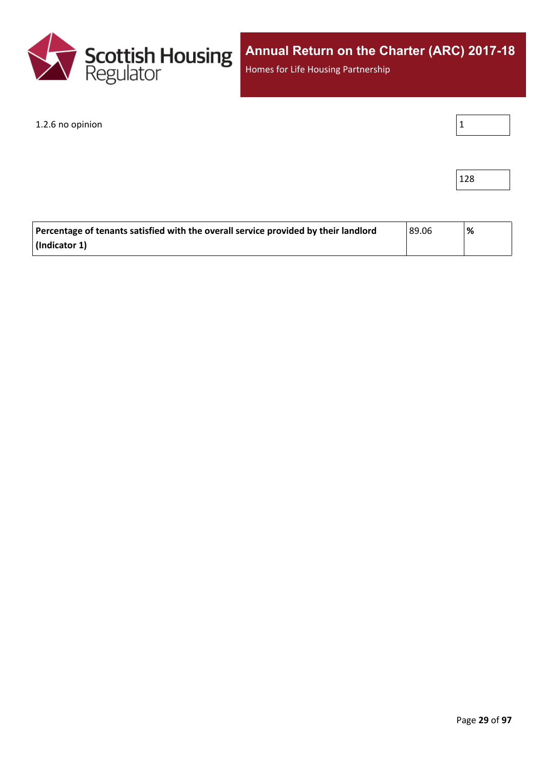

Homes for Life Housing Partnership

1.2.6 no opinion

|--|--|--|--|

| ۰. |  |
|----|--|
|----|--|

| Percentage of tenants satisfied with the overall service provided by their landlord | 89.06 ا | '% |
|-------------------------------------------------------------------------------------|---------|----|
| $\vert$ (Indicator 1)                                                               |         |    |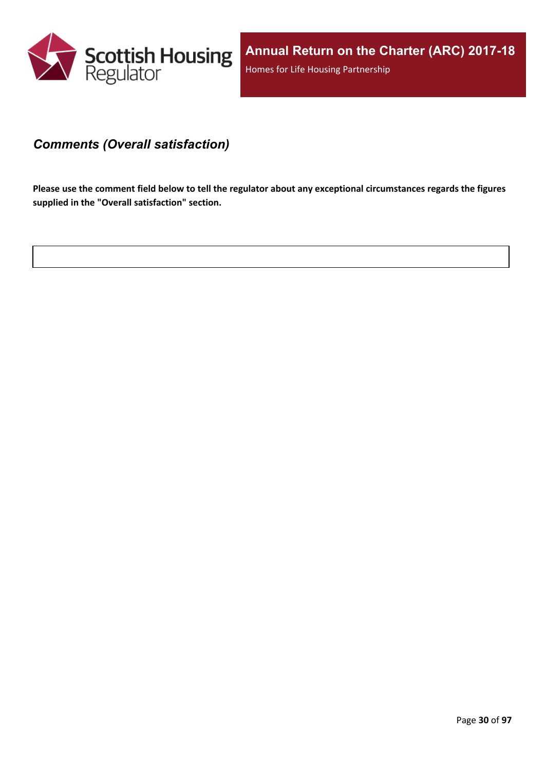

### <span id="page-29-0"></span>*Comments (Overall satisfaction)*

Please use the comment field below to tell the regulator about any exceptional circumstances regards the figures **supplied in the "Overall satisfaction" section.**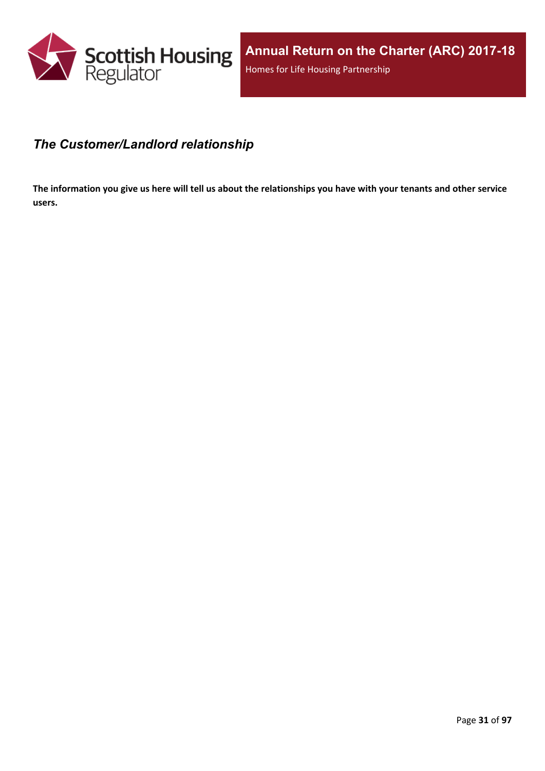

### <span id="page-30-0"></span>*The Customer/Landlord relationship*

The information you give us here will tell us about the relationships you have with your tenants and other service **users.**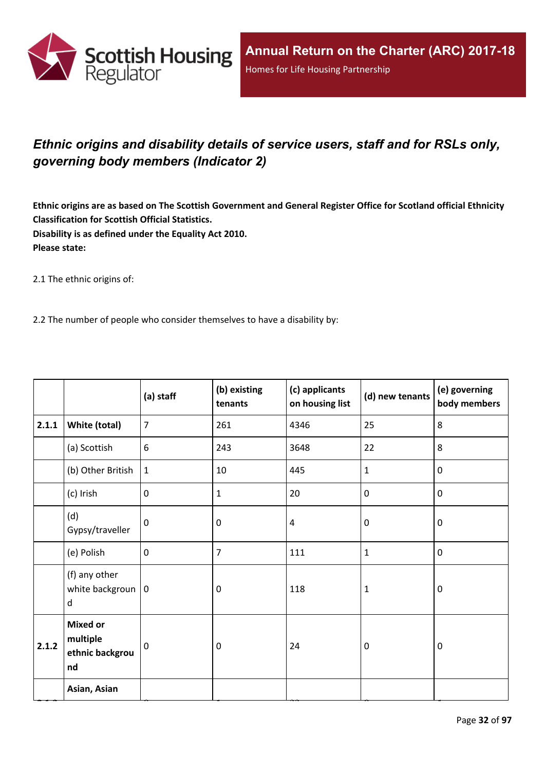

## <span id="page-31-0"></span>*Ethnic origins and disability details of service users, staff and for RSLs only, governing body members (Indicator 2)*

Ethnic origins are as based on The Scottish Government and General Register Office for Scotland official Ethnicity **Classification for Scottish Official Statistics. Disability is as defined under the Equality Act 2010. Please state:**

2.1 The ethnic origins of:

2.2 The number of people who consider themselves to have a disability by:

|       |                                                      | (a) staff      | (b) existing<br>tenants | (c) applicants<br>on housing list | (d) new tenants | (e) governing<br>body members |
|-------|------------------------------------------------------|----------------|-------------------------|-----------------------------------|-----------------|-------------------------------|
| 2.1.1 | White (total)                                        | $\overline{7}$ | 261                     | 4346                              | 25              | 8                             |
|       | (a) Scottish                                         | 6              | 243                     | 3648                              | 22              | 8                             |
|       | (b) Other British                                    | $\mathbf{1}$   | 10                      | 445                               | $\mathbf{1}$    | $\mathbf 0$                   |
|       | (c) Irish                                            | $\mathbf 0$    | $\mathbf{1}$            | 20                                | $\pmb{0}$       | $\mathbf 0$                   |
|       | (d)<br>Gypsy/traveller                               | $\mathbf{0}$   | 0                       | $\overline{4}$                    | $\mathbf 0$     | $\mathbf 0$                   |
|       | (e) Polish                                           | $\mathbf 0$    | 7                       | 111                               | $\mathbf{1}$    | $\mathbf 0$                   |
|       | (f) any other<br>white backgroun $ 0$<br>d           |                | 0                       | 118                               | $\mathbf{1}$    | $\mathbf 0$                   |
| 2.1.2 | <b>Mixed or</b><br>multiple<br>ethnic backgrou<br>nd | $\mathbf 0$    | 0                       | 24                                | $\mathbf 0$     | $\mathbf 0$                   |
|       | Asian, Asian                                         |                |                         |                                   |                 |                               |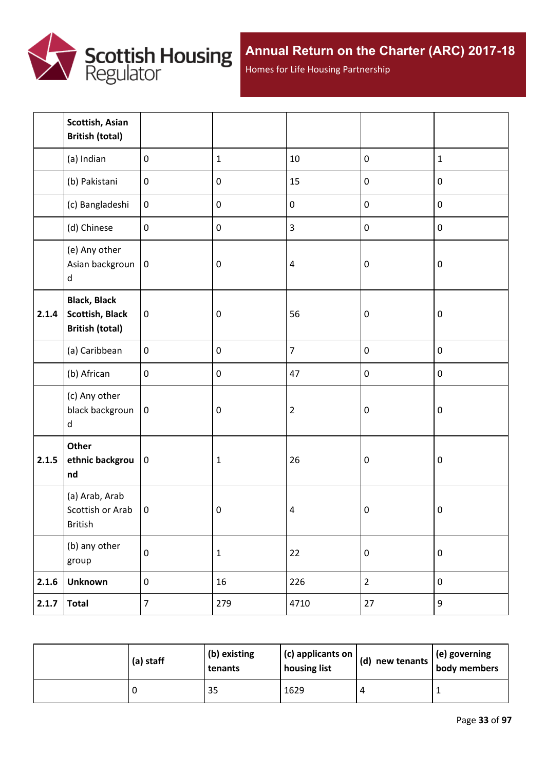

Homes for Life Housing Partnership

|       | Scottish, Asian<br><b>British (total)</b>                               |                  |                  |                |                  |             |
|-------|-------------------------------------------------------------------------|------------------|------------------|----------------|------------------|-------------|
|       | (a) Indian                                                              | $\mathbf 0$      | $\mathbf{1}$     | 10             | $\pmb{0}$        | $\mathbf 1$ |
|       | (b) Pakistani                                                           | $\boldsymbol{0}$ | $\pmb{0}$        | 15             | $\pmb{0}$        | $\pmb{0}$   |
|       | (c) Bangladeshi                                                         | $\boldsymbol{0}$ | $\pmb{0}$        | $\pmb{0}$      | $\pmb{0}$        | $\pmb{0}$   |
|       | (d) Chinese                                                             | $\mathbf 0$      | $\pmb{0}$        | $\overline{3}$ | $\mathbf 0$      | $\pmb{0}$   |
|       | (e) Any other<br>Asian backgroun<br>$\sf d$                             | $\pmb{0}$        | $\boldsymbol{0}$ | $\pmb{4}$      | $\boldsymbol{0}$ | $\pmb{0}$   |
| 2.1.4 | <b>Black, Black</b><br><b>Scottish, Black</b><br><b>British (total)</b> | $\pmb{0}$        | $\boldsymbol{0}$ | 56             | $\boldsymbol{0}$ | $\pmb{0}$   |
|       | (a) Caribbean                                                           | $\pmb{0}$        | $\pmb{0}$        | $\overline{7}$ | $\pmb{0}$        | $\pmb{0}$   |
|       | (b) African                                                             | $\boldsymbol{0}$ | $\pmb{0}$        | 47             | $\pmb{0}$        | $\pmb{0}$   |
|       | (c) Any other<br>black backgroun<br>d                                   | $\mathbf 0$      | $\pmb{0}$        | $\mathbf 2$    | $\boldsymbol{0}$ | $\pmb{0}$   |
| 2.1.5 | Other<br>ethnic backgrou<br>nd                                          | $\pmb{0}$        | $\mathbf 1$      | 26             | $\boldsymbol{0}$ | $\pmb{0}$   |
|       | (a) Arab, Arab<br>Scottish or Arab<br>British                           | $\mathbf 0$      | $\pmb{0}$        | $\pmb{4}$      | $\pmb{0}$        | $\pmb{0}$   |
|       | (b) any other<br>group                                                  | $\pmb{0}$        | $\mathbf 1$      | 22             | $\pmb{0}$        | $\pmb{0}$   |
| 2.1.6 | <b>Unknown</b>                                                          | $\boldsymbol{0}$ | 16               | 226            | $\overline{2}$   | $\pmb{0}$   |
| 2.1.7 | <b>Total</b>                                                            | $\overline{7}$   | 279              | 4710           | 27               | 9           |

| (a) staff | (b) existing<br>tenants | $\vert$ (c) applicants on<br>housing list | $\vert$ (d) new tenants $\vert$ . | $\vert$ (e) governing<br>body members |
|-----------|-------------------------|-------------------------------------------|-----------------------------------|---------------------------------------|
|           | 35                      | 1629                                      |                                   |                                       |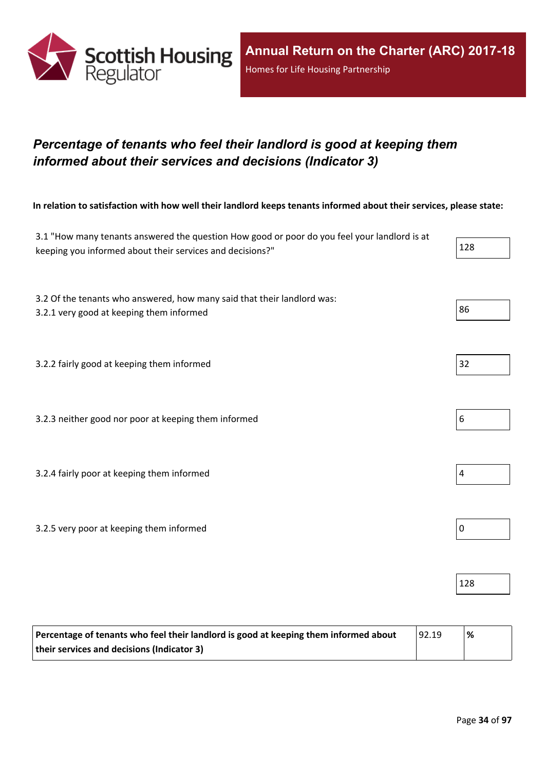

## <span id="page-33-0"></span>*Percentage of tenants who feel their landlord is good at keeping them informed about their services and decisions (Indicator 3)*

In relation to satisfaction with how well their landlord keeps tenants informed about their services, please state:

| 3.1 "How many tenants answered the question How good or poor do you feel your landlord is at<br>keeping you informed about their services and decisions?" | 128              |
|-----------------------------------------------------------------------------------------------------------------------------------------------------------|------------------|
| 3.2 Of the tenants who answered, how many said that their landlord was:<br>3.2.1 very good at keeping them informed                                       | 86               |
| 3.2.2 fairly good at keeping them informed                                                                                                                | 32               |
| 3.2.3 neither good nor poor at keeping them informed                                                                                                      | 6                |
| 3.2.4 fairly poor at keeping them informed                                                                                                                | 4                |
| 3.2.5 very poor at keeping them informed                                                                                                                  | $\boldsymbol{0}$ |
|                                                                                                                                                           | 128              |

| Percentage of tenants who feel their landlord is good at keeping them informed about | 92.19 | % |
|--------------------------------------------------------------------------------------|-------|---|
| their services and decisions (Indicator 3)                                           |       |   |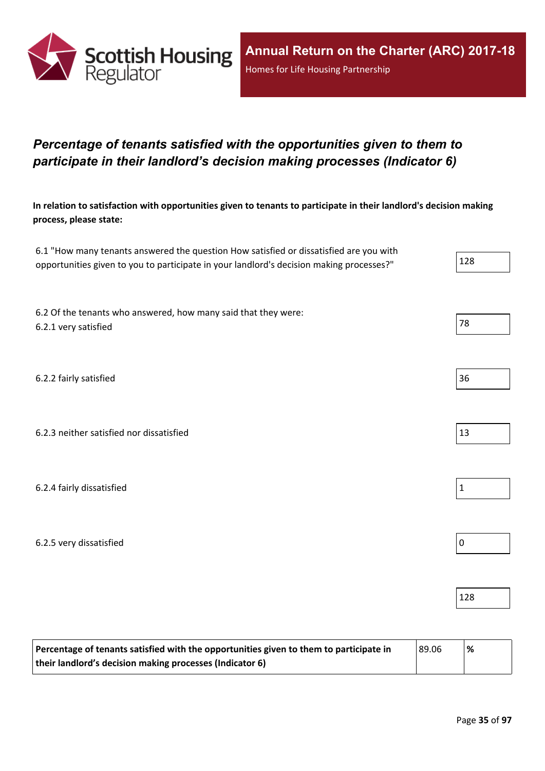

## <span id="page-34-0"></span>*Percentage of tenants satisfied with the opportunities given to them to participate in their landlord's decision making processes (Indicator 6)*

In relation to satisfaction with opportunities given to tenants to participate in their landlord's decision making **process, please state:**

| 6.1 "How many tenants answered the question How satisfied or dissatisfied are you with   |     |
|------------------------------------------------------------------------------------------|-----|
| opportunities given to you to participate in your landlord's decision making processes?" | 128 |

6.2 Of the tenants who answered, how many said that they were: 6.2.1 very satisfied and the set of the set of the set of the set of the set of the set of the set of the set of the set of the set of the set of the set of the set of the set of the set of the set of the set of the set of

6.2.2 fairly satisfied 36

6.2.3 neither satisfied nor dissatisfied 13

6.2.4 fairly dissatisfied  $\vert$  1

6.2.5 very dissatisfied  $\vert$  0

| Percentage of tenants satisfied with the opportunities given to them to participate in | 89.06 | $\frac{9}{6}$ |
|----------------------------------------------------------------------------------------|-------|---------------|
| their landlord's decision making processes (Indicator 6)                               |       |               |





128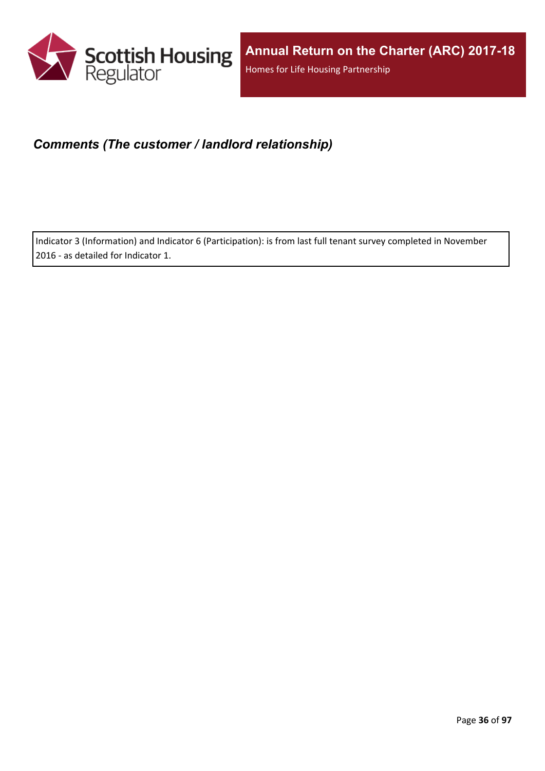

## <span id="page-35-0"></span>*Comments (The customer / landlord relationship)*

Indicator 3 (Information) and Indicator 6 (Participation): is from last full tenant survey completed in November 2016 - as detailed for Indicator 1.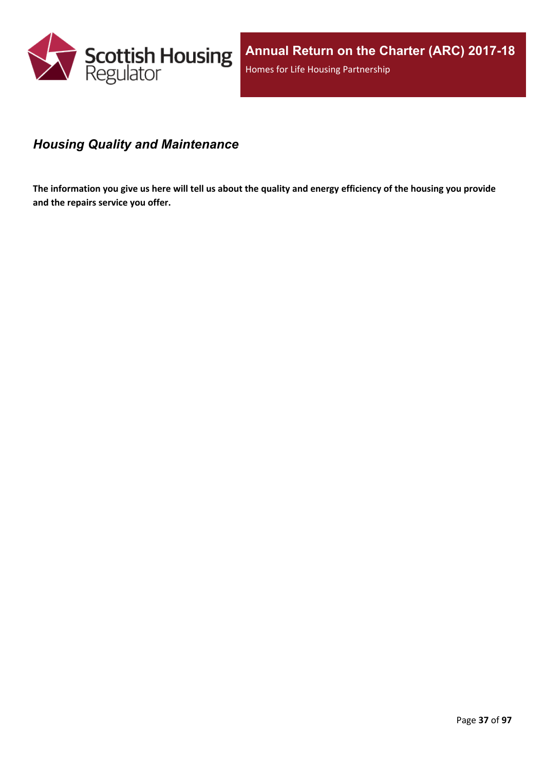

# *Housing Quality and Maintenance*

The information you give us here will tell us about the quality and energy efficiency of the housing you provide **and the repairs service you offer.**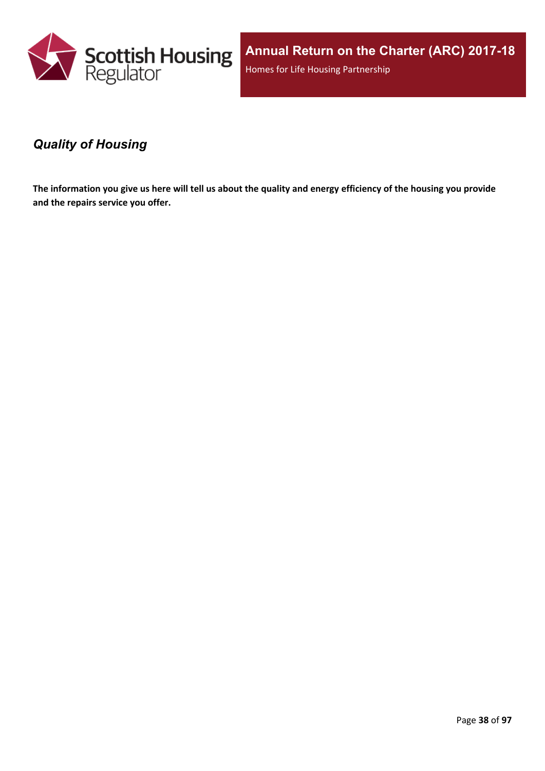

**Annual Return on the Charter (ARC) 2017-18** Homes for Life Housing Partnership

### *Quality of Housing*

The information you give us here will tell us about the quality and energy efficiency of the housing you provide **and the repairs service you offer.**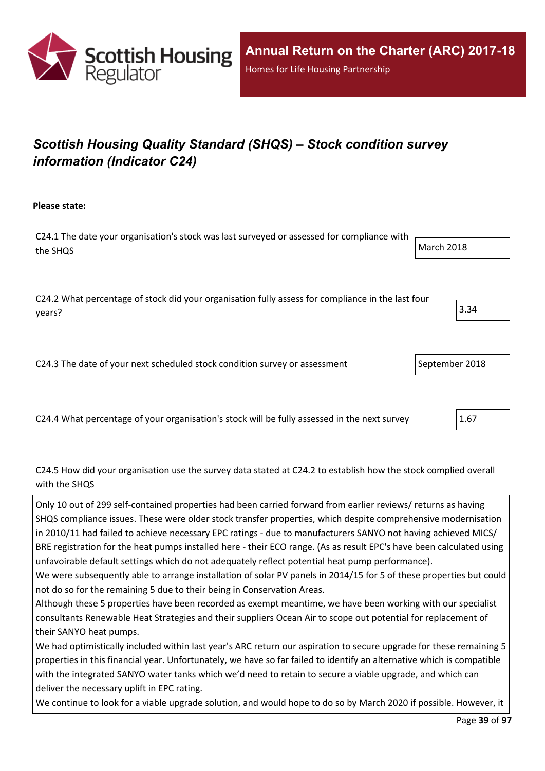

# *Scottish Housing Quality Standard (SHQS) – Stock condition survey information (Indicator C24)*

**Please state:**

C24.1 The date your organisation's stock was last surveyed or assessed for compliance with the SHQS March 2018

C24.2 What percentage of stock did your organisation fully assess for compliance in the last four years?  $3.34$ 

C24.3 The date of your next scheduled stock condition survey or assessment September 2018

C24.4 What percentage of your organisation's stock will be fully assessed in the next survey 2.67

#### C24.5 How did your organisation use the survey data stated at C24.2 to establish how the stock complied overall with the SHQS

Only 10 out of 299 self-contained properties had been carried forward from earlier reviews/ returns as having SHQS compliance issues. These were older stock transfer properties, which despite comprehensive modernisation in 2010/11 had failed to achieve necessary EPC ratings - due to manufacturers SANYO not having achieved MICS/ BRE registration for the heat pumps installed here - their ECO range. (As as result EPC's have been calculated using unfavoirable default settings which do not adequately reflect potential heat pump performance).

We were subsequently able to arrange installation of solar PV panels in 2014/15 for 5 of these properties but could not do so for the remaining 5 due to their being in Conservation Areas.

Although these 5 properties have been recorded as exempt meantime, we have been working with our specialist consultants Renewable Heat Strategies and their suppliers Ocean Air to scope out potential for replacement of their SANYO heat pumps.

We had optimistically included within last year's ARC return our aspiration to secure upgrade for these remaining 5 properties in this financial year. Unfortunately, we have so far failed to identify an alternative which is compatible with the integrated SANYO water tanks which we'd need to retain to secure a viable upgrade, and which can deliver the necessary uplift in EPC rating.

We continue to look for a viable upgrade solution, and would hope to do so by March 2020 if possible. However, it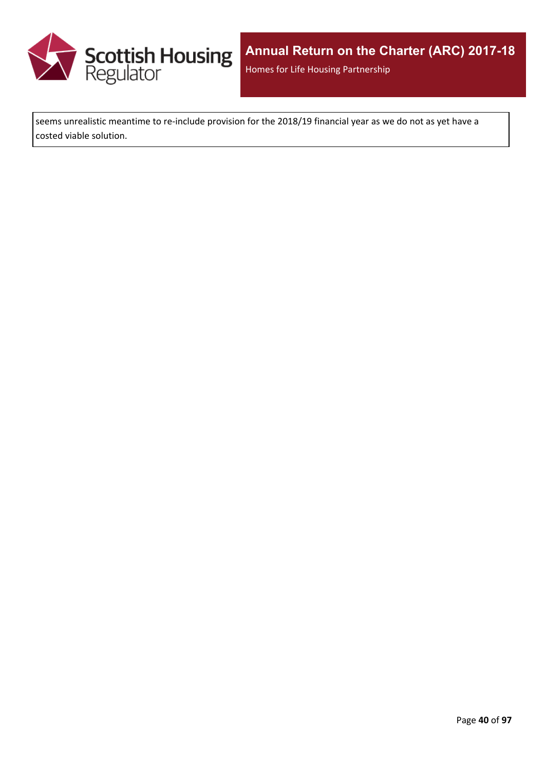

seems unrealistic meantime to re-include provision for the 2018/19 financial year as we do not as yet have a costed viable solution.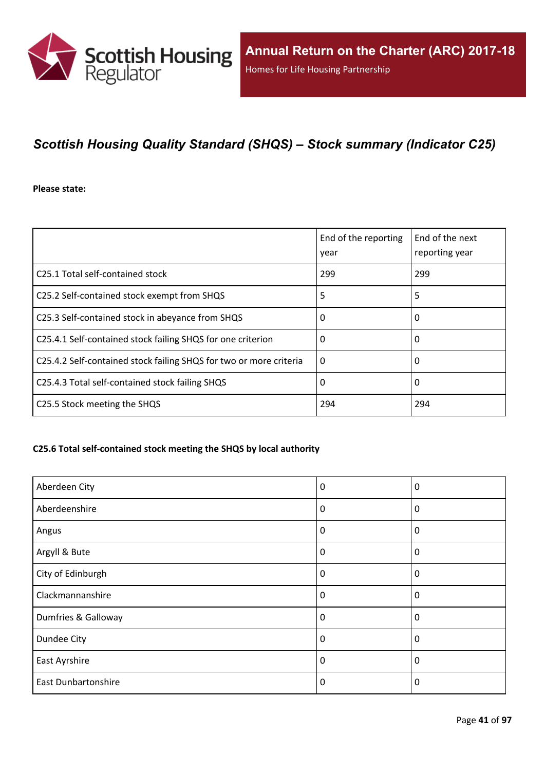

## *Scottish Housing Quality Standard (SHQS) – Stock summary (Indicator C25)*

**Please state:**

|                                                                    | End of the reporting<br>year | End of the next<br>reporting year |
|--------------------------------------------------------------------|------------------------------|-----------------------------------|
| C25.1 Total self-contained stock                                   | 299                          | 299                               |
| C25.2 Self-contained stock exempt from SHQS                        | 5                            | 5                                 |
| C25.3 Self-contained stock in abeyance from SHQS                   | 0                            | 0                                 |
| C25.4.1 Self-contained stock failing SHQS for one criterion        | 0                            | 0                                 |
| C25.4.2 Self-contained stock failing SHQS for two or more criteria | $\Omega$                     | 0                                 |
| C25.4.3 Total self-contained stock failing SHQS                    | 0                            | 0                                 |
| C25.5 Stock meeting the SHQS                                       | 294                          | 294                               |

#### **C25.6 Total self-contained stock meeting the SHQS by local authority**

| Aberdeen City              | 0        | $\boldsymbol{0}$ |
|----------------------------|----------|------------------|
| Aberdeenshire              | 0        | 0                |
| Angus                      | 0        | 0                |
| Argyll & Bute              | 0        | $\mathbf 0$      |
| City of Edinburgh          | 0        | $\boldsymbol{0}$ |
| Clackmannanshire           | 0        | $\mathbf{0}$     |
| Dumfries & Galloway        | $\Omega$ | $\Omega$         |
| Dundee City                | 0        | $\mathbf 0$      |
| East Ayrshire              | 0        | $\mathbf 0$      |
| <b>East Dunbartonshire</b> | 0        | 0                |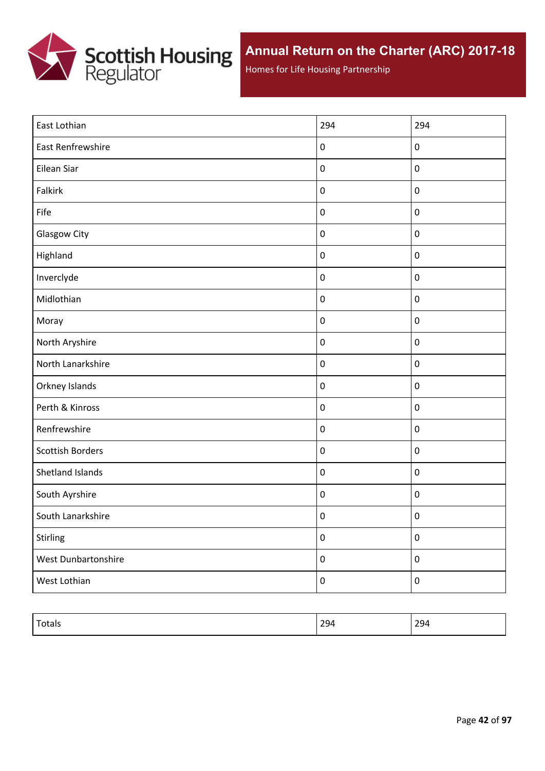

Homes for Life Housing Partnership

| East Lothian            | 294              | 294              |
|-------------------------|------------------|------------------|
| East Renfrewshire       | $\pmb{0}$        | $\pmb{0}$        |
| Eilean Siar             | $\pmb{0}$        | $\pmb{0}$        |
| Falkirk                 | $\pmb{0}$        | $\pmb{0}$        |
| Fife                    | $\pmb{0}$        | $\pmb{0}$        |
| Glasgow City            | $\pmb{0}$        | $\pmb{0}$        |
| Highland                | $\pmb{0}$        | $\pmb{0}$        |
| Inverclyde              | $\pmb{0}$        | $\pmb{0}$        |
| Midlothian              | $\boldsymbol{0}$ | $\mathbf 0$      |
| Moray                   | $\pmb{0}$        | $\pmb{0}$        |
| North Aryshire          | $\pmb{0}$        | $\pmb{0}$        |
| North Lanarkshire       | $\pmb{0}$        | $\mathbf 0$      |
| Orkney Islands          | $\pmb{0}$        | $\pmb{0}$        |
| Perth & Kinross         | $\pmb{0}$        | $\mathbf 0$      |
| Renfrewshire            | $\pmb{0}$        | $\mathbf 0$      |
| <b>Scottish Borders</b> | $\pmb{0}$        | $\mathbf 0$      |
| Shetland Islands        | $\pmb{0}$        | $\mathbf 0$      |
| South Ayrshire          | $\pmb{0}$        | $\pmb{0}$        |
| South Lanarkshire       | $\pmb{0}$        | $\boldsymbol{0}$ |
| Stirling                | $\boldsymbol{0}$ | $\pmb{0}$        |
| West Dunbartonshire     | $\pmb{0}$        | $\pmb{0}$        |
| West Lothian            | $\boldsymbol{0}$ | $\pmb{0}$        |

| $\overline{\phantom{0}}$<br> | 20 <sub>0</sub><br>ᢇ<br>$- - -$ | . .<br>-72<br>⊷∽<br>$  -$ |
|------------------------------|---------------------------------|---------------------------|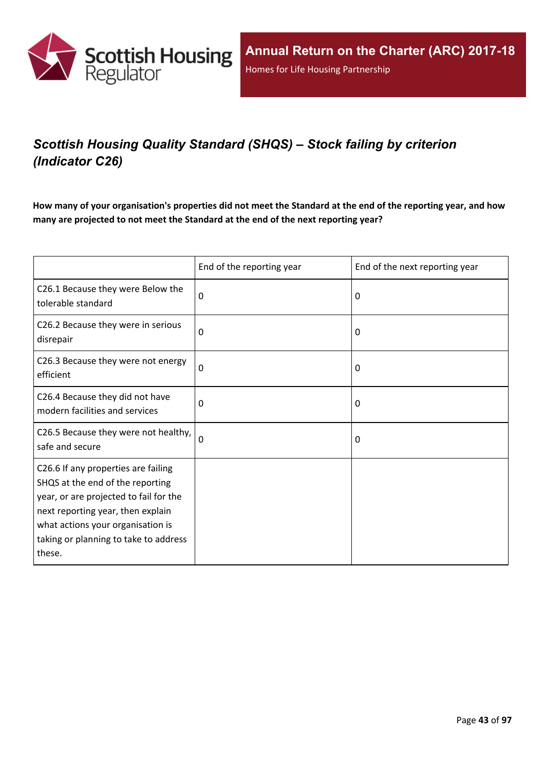

# *Scottish Housing Quality Standard (SHQS) – Stock failing by criterion (Indicator C26)*

How many of your organisation's properties did not meet the Standard at the end of the reporting year, and how **many are projected to not meet the Standard at the end of the next reporting year?**

|                                                                                                                                                                                                                                                | End of the reporting year | End of the next reporting year |
|------------------------------------------------------------------------------------------------------------------------------------------------------------------------------------------------------------------------------------------------|---------------------------|--------------------------------|
| C26.1 Because they were Below the<br>tolerable standard                                                                                                                                                                                        | 0                         | 0                              |
| C26.2 Because they were in serious<br>disrepair                                                                                                                                                                                                | 0                         | 0                              |
| C26.3 Because they were not energy<br>efficient                                                                                                                                                                                                | $\mathbf 0$               | 0                              |
| C26.4 Because they did not have<br>modern facilities and services                                                                                                                                                                              | $\mathbf 0$               | 0                              |
| C26.5 Because they were not healthy,<br>safe and secure                                                                                                                                                                                        | $\Omega$                  | 0                              |
| C26.6 If any properties are failing<br>SHQS at the end of the reporting<br>year, or are projected to fail for the<br>next reporting year, then explain<br>what actions your organisation is<br>taking or planning to take to address<br>these. |                           |                                |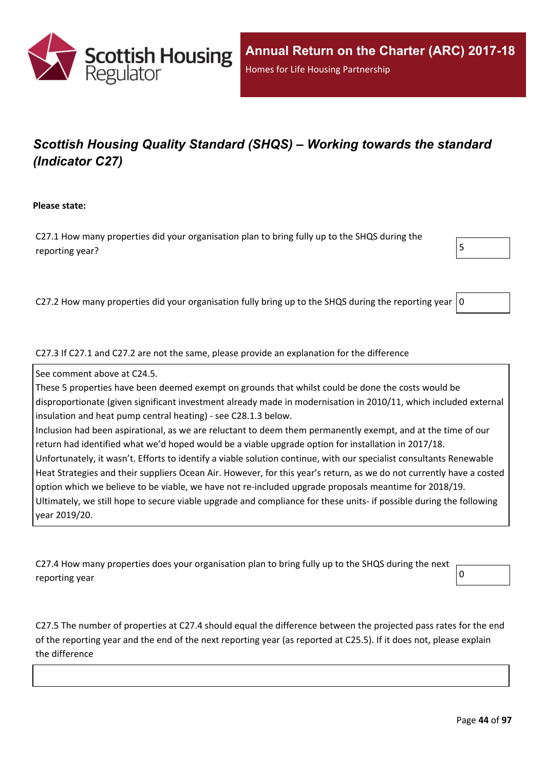

# *Scottish Housing Quality Standard (SHQS) – Working towards the standard (Indicator C27)*

#### **Please state:**

C27.1 How many properties did your organisation plan to bring fully up to the SHQS during the reporting year?  $\vert$ 



C27.2 How many properties did your organisation fully bring up to the SHQS during the reporting year  $\vert 0$ 

C27.3 If C27.1 and C27.2 are not the same, please provide an explanation for the difference

See comment above at C24.5.

These 5 properties have been deemed exempt on grounds that whilst could be done the costs would be disproportionate (given significant investment already made in modernisation in 2010/11, which included external insulation and heat pump central heating) - see C28.1.3 below. Inclusion had been aspirational, as we are reluctant to deem them permanently exempt, and at the time of our return had identified what we'd hoped would be a viable upgrade option for installation in 2017/18. Unfortunately, it wasn't. Efforts to identify a viable solution continue, with our specialist consultants Renewable Heat Strategies and their suppliers Ocean Air. However, for this year's return, as we do not currently have a costed option which we believe to be viable, we have not re-included upgrade proposals meantime for 2018/19.

Ultimately, we still hope to secure viable upgrade and compliance for these units- if possible during the following year 2019/20.

C27.4 How many properties does your organisation plan to bring fully up to the SHQS during the next reporting year  $\begin{bmatrix} 0 \end{bmatrix}$ 

C27.5 The number of properties at C27.4 should equal the difference between the projected pass rates for the end of the reporting year and the end of the next reporting year (as reported at C25.5). If it does not, please explain the difference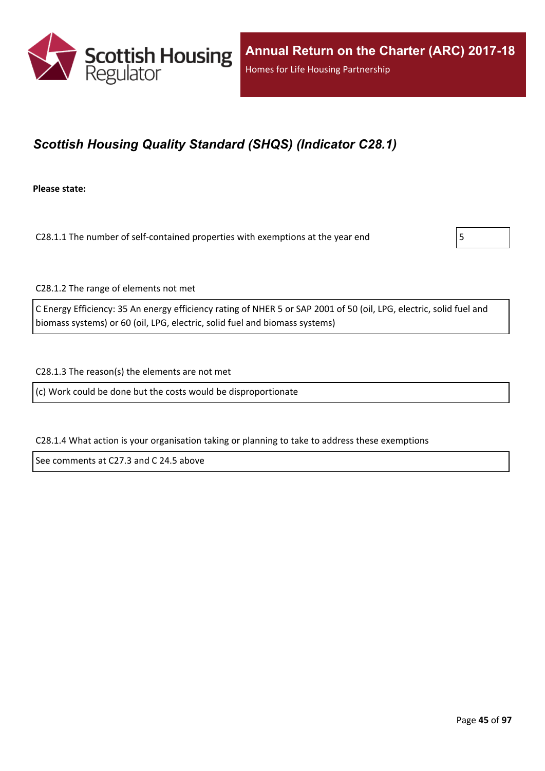

## *Scottish Housing Quality Standard (SHQS) (Indicator C28.1)*

**Please state:**

C28.1.1 The number of self-contained properties with exemptions at the year end  $\vert$  5



C28.1.2 The range of elements not met

C Energy Efficiency: 35 An energy efficiency rating of NHER 5 or SAP 2001 of 50 (oil, LPG, electric, solid fuel and biomass systems) or 60 (oil, LPG, electric, solid fuel and biomass systems)

C28.1.3 The reason(s) the elements are not met

(c) Work could be done but the costs would be disproportionate

C28.1.4 What action is your organisation taking or planning to take to address these exemptions

See comments at C27.3 and C 24.5 above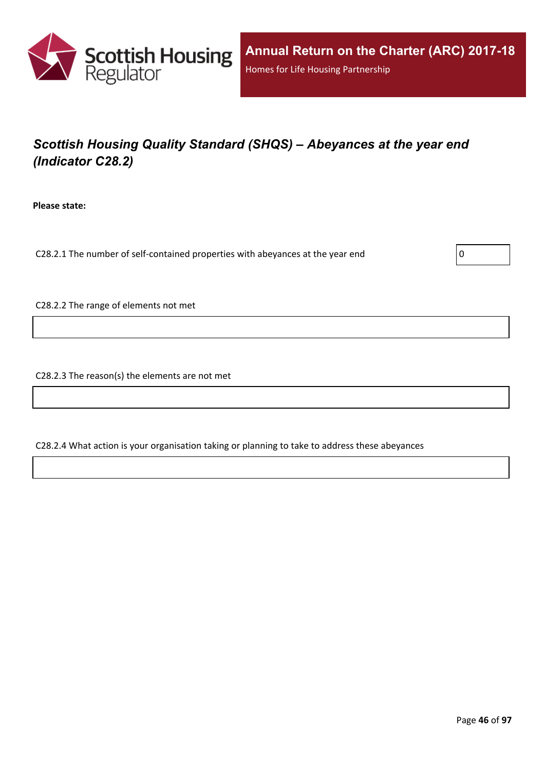

# *Scottish Housing Quality Standard (SHQS) – Abeyances at the year end (Indicator C28.2)*

**Please state:**

C28.2.1 The number of self-contained properties with abeyances at the year end  $\vert$  0

C28.2.2 The range of elements not met

C28.2.3 The reason(s) the elements are not met

C28.2.4 What action is your organisation taking or planning to take to address these abeyances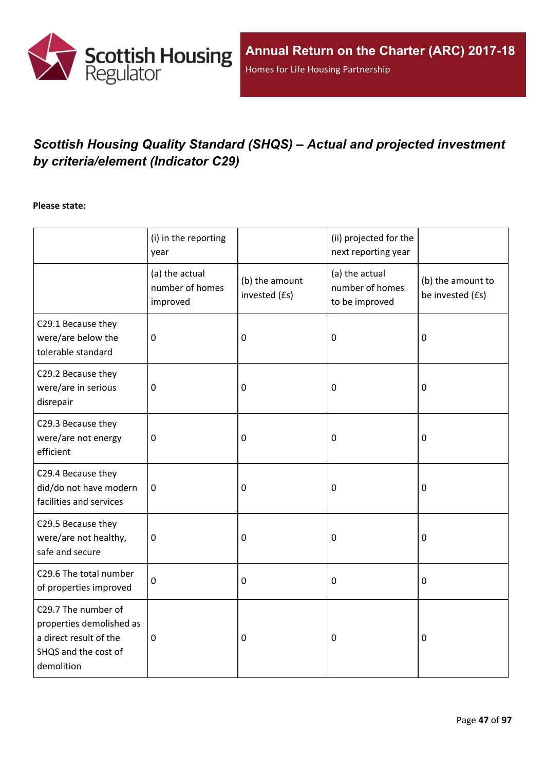

# *Scottish Housing Quality Standard (SHQS) – Actual and projected investment by criteria/element (Indicator C29)*

#### **Please state:**

|                                                                                                                 | (i) in the reporting<br>year                  |                                 | (ii) projected for the<br>next reporting year       |                                       |
|-----------------------------------------------------------------------------------------------------------------|-----------------------------------------------|---------------------------------|-----------------------------------------------------|---------------------------------------|
|                                                                                                                 | (a) the actual<br>number of homes<br>improved | (b) the amount<br>invested (£s) | (a) the actual<br>number of homes<br>to be improved | (b) the amount to<br>be invested (£s) |
| C29.1 Because they<br>were/are below the<br>tolerable standard                                                  | $\overline{0}$                                | $\mathbf 0$                     | 0                                                   | $\mathbf 0$                           |
| C29.2 Because they<br>were/are in serious<br>disrepair                                                          | 0                                             | 0                               | 0                                                   | $\pmb{0}$                             |
| C29.3 Because they<br>were/are not energy<br>efficient                                                          | $\pmb{0}$                                     | $\pmb{0}$                       | 0                                                   | $\boldsymbol{0}$                      |
| C29.4 Because they<br>did/do not have modern<br>facilities and services                                         | $\mathbf 0$                                   | $\boldsymbol{0}$                | 0                                                   | $\boldsymbol{0}$                      |
| C29.5 Because they<br>were/are not healthy,<br>safe and secure                                                  | $\boldsymbol{0}$                              | $\boldsymbol{0}$                | 0                                                   | $\mathbf 0$                           |
| C29.6 The total number<br>of properties improved                                                                | $\boldsymbol{0}$                              | $\boldsymbol{0}$                | 0                                                   | $\boldsymbol{0}$                      |
| C29.7 The number of<br>properties demolished as<br>a direct result of the<br>SHQS and the cost of<br>demolition | $\mathbf 0$                                   | $\pmb{0}$                       | 0                                                   | $\mathbf 0$                           |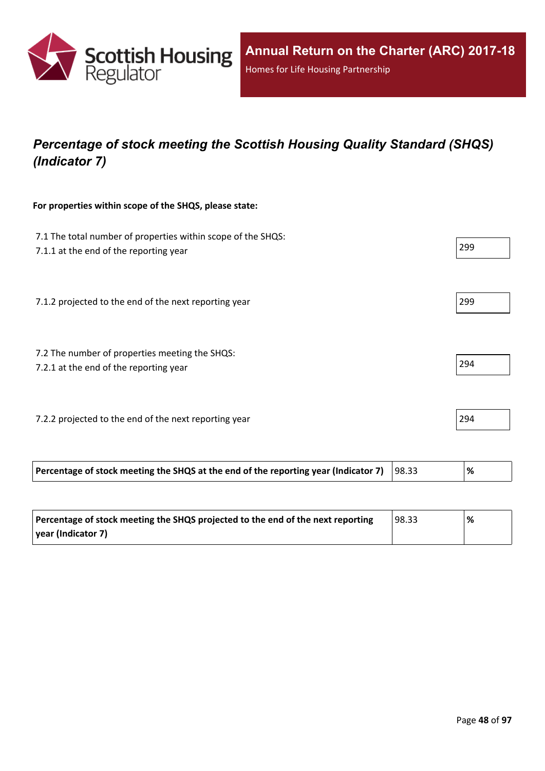

## *Percentage of stock meeting the Scottish Housing Quality Standard (SHQS) (Indicator 7)*

#### **For properties within scope of the SHQS, please state:**

| Percentage of stock meeting the SHQS at the end of the reporting year (Indicator 7)                    | 98.33 | %   |
|--------------------------------------------------------------------------------------------------------|-------|-----|
| 7.2.2 projected to the end of the next reporting year                                                  |       | 294 |
| 7.2 The number of properties meeting the SHQS:<br>7.2.1 at the end of the reporting year               |       | 294 |
| 7.1.2 projected to the end of the next reporting year                                                  |       | 299 |
| 7.1 The total number of properties within scope of the SHQS:<br>7.1.1 at the end of the reporting year |       | 299 |

| Percentage of stock meeting the SHQS projected to the end of the next reporting | 98.33 | % |
|---------------------------------------------------------------------------------|-------|---|
| vear (Indicator 7)                                                              |       |   |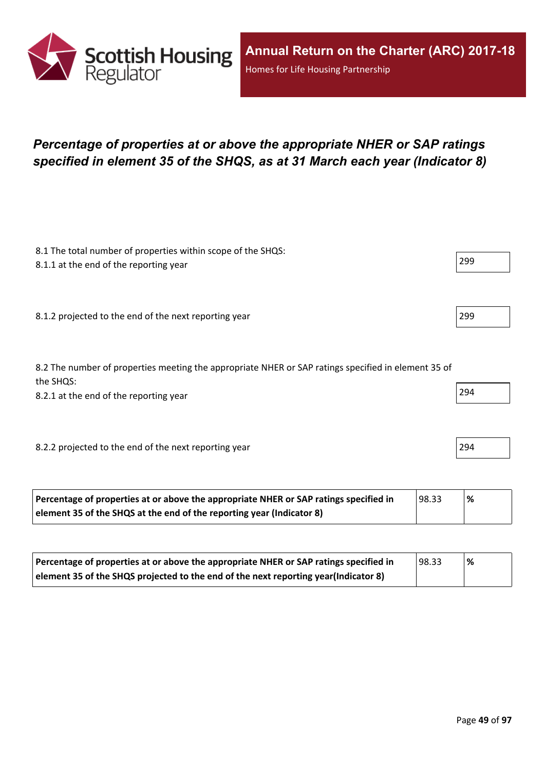

## *Percentage of properties at or above the appropriate NHER or SAP ratings specified in element 35 of the SHQS, as at 31 March each year (Indicator 8)*

| 8.1 The total number of properties within scope of the SHQS:<br>8.1.1 at the end of the reporting year           | 299 |
|------------------------------------------------------------------------------------------------------------------|-----|
|                                                                                                                  |     |
| 8.1.2 projected to the end of the next reporting year                                                            | 299 |
|                                                                                                                  |     |
| 8.2 The number of properties meeting the appropriate NHER or SAP ratings specified in element 35 of<br>the SHQS: |     |
| 8.2.1 at the end of the reporting year                                                                           | 294 |
|                                                                                                                  |     |
| 8.2.2 projected to the end of the next reporting year                                                            | 294 |
|                                                                                                                  |     |

| Percentage of properties at or above the appropriate NHER or SAP ratings specified in | 98.33 | % |
|---------------------------------------------------------------------------------------|-------|---|
| element 35 of the SHQS at the end of the reporting year (Indicator 8)                 |       |   |

| Percentage of properties at or above the appropriate NHER or SAP ratings specified in | 98.33 | % |
|---------------------------------------------------------------------------------------|-------|---|
| element 35 of the SHQS projected to the end of the next reporting year(Indicator 8)   |       |   |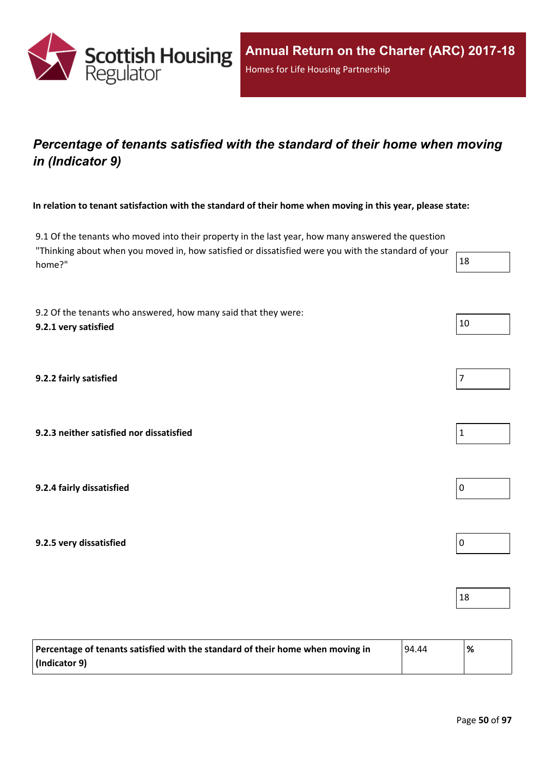

## *Percentage of tenants satisfied with the standard of their home when moving in (Indicator 9)*

In relation to tenant satisfaction with the standard of their home when moving in this year, please state:

9.1 Of the tenants who moved into their property in the last year, how many answered the question "Thinking about when you moved in, how satisfied or dissatisfied were you with the standard of your home?"  $18$ 

9.2 Of the tenants who answered, how many said that they were: **9.2.1 very satisfied** 10

**9.2.2 fairly satisfied** 7

**9.2.3 neither satisfied nor dissatisfied** 1

**9.2.4 fairly dissatisfied** 0

**9.2.5 very dissatisfied** 0

| Percentage of tenants satisfied with the standard of their home when moving in |  | % |
|--------------------------------------------------------------------------------|--|---|
| $ $ (Indicator 9)                                                              |  |   |

18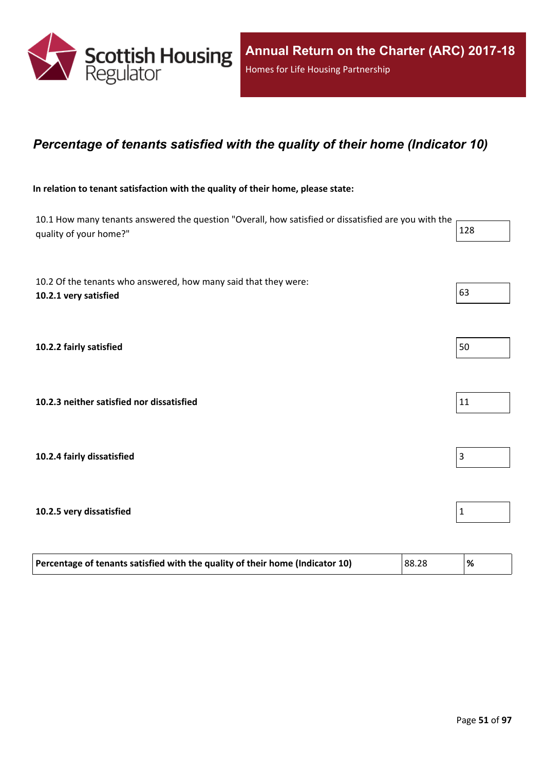

### *Percentage of tenants satisfied with the quality of their home (Indicator 10)*

#### **In relation to tenant satisfaction with the quality of their home, please state:**

| 10.1 How many tenants answered the question "Overall, how satisfied or dissatisfied are you with the<br>quality of your home?" | 128           |
|--------------------------------------------------------------------------------------------------------------------------------|---------------|
| 10.2 Of the tenants who answered, how many said that they were:<br>10.2.1 very satisfied                                       | 63            |
| 10.2.2 fairly satisfied                                                                                                        | 50            |
| 10.2.3 neither satisfied nor dissatisfied                                                                                      | 11            |
| 10.2.4 fairly dissatisfied                                                                                                     | 3             |
| 10.2.5 very dissatisfied                                                                                                       | $\mathbf{1}$  |
| Percentage of tenants satisfied with the quality of their home (Indicator 10)                                                  | 88.28<br>$\%$ |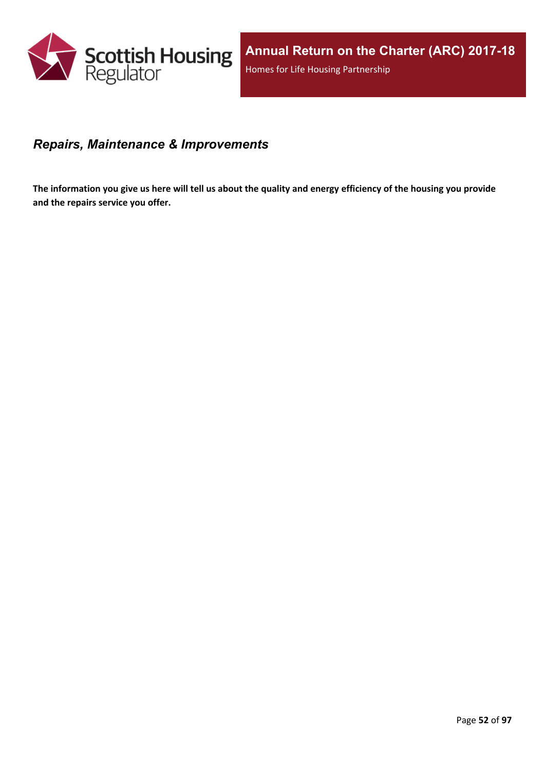

#### *Repairs, Maintenance & Improvements*

The information you give us here will tell us about the quality and energy efficiency of the housing you provide **and the repairs service you offer.**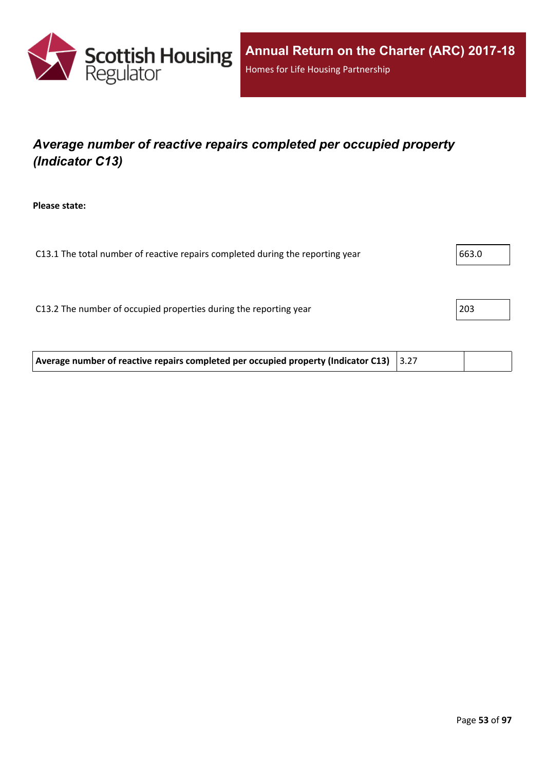

## *Average number of reactive repairs completed per occupied property (Indicator C13)*

**Please state:**

| C13.1 The total number of reactive repairs completed during the reporting year | 663.0 |
|--------------------------------------------------------------------------------|-------|
|                                                                                |       |
|                                                                                |       |
| C13.2 The number of occupied properties during the reporting year              | 203   |
|                                                                                |       |
|                                                                                |       |

**Average number of reactive repairs completed per occupied property (Indicator C13)** 3.27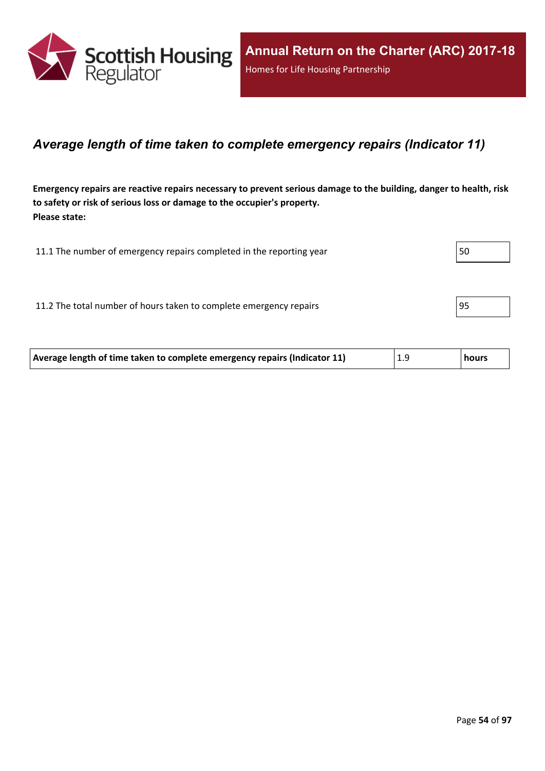

### *Average length of time taken to complete emergency repairs (Indicator 11)*

Emergency repairs are reactive repairs necessary to prevent serious damage to the building, danger to health, risk **to safety or risk of serious loss or damage to the occupier's property. Please state:**

| 11.1 The number of emergency repairs completed in the reporting year | 50 |
|----------------------------------------------------------------------|----|
|                                                                      |    |
| 11.2 The total number of hours taken to complete emergency repairs   | 95 |
|                                                                      |    |

| Average length of time taken to complete emergency repairs (Indicator 11) | 1.9 | hours |
|---------------------------------------------------------------------------|-----|-------|
|                                                                           |     |       |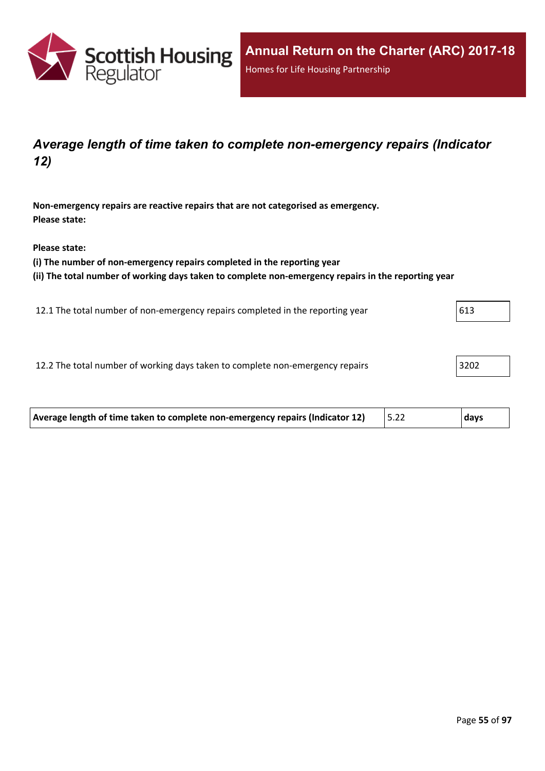

## *Average length of time taken to complete non-emergency repairs (Indicator 12)*

**Non-emergency repairs are reactive repairs that are not categorised as emergency. Please state:**

**Please state:**

**(i) The number of non-emergency repairs completed in the reporting year**

**(ii) The total number of working days taken to complete non-emergency repairs in the reporting year**

12.1 The total number of non-emergency repairs completed in the reporting year 613

12.2 The total number of working days taken to complete non-emergency repairs 3202

| Average length of time taken to complete non-emergency repairs (Indicator 12)<br>days |  |
|---------------------------------------------------------------------------------------|--|
|---------------------------------------------------------------------------------------|--|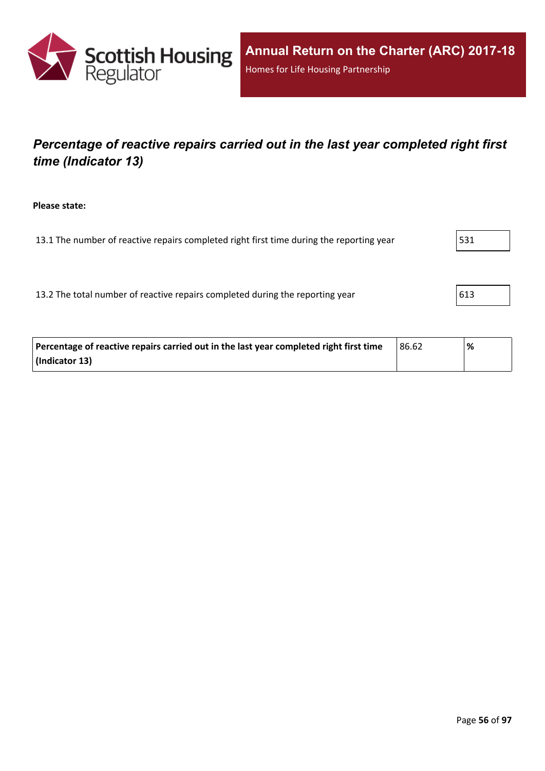

## *Percentage of reactive repairs carried out in the last year completed right first time (Indicator 13)*

**Please state:**

13.1 The number of reactive repairs completed right first time during the reporting year  $\vert$  531

13.2 The total number of reactive repairs completed during the reporting year  $\vert$  613

| Percentage of reactive repairs carried out in the last year completed right first time | 86.62 | % |
|----------------------------------------------------------------------------------------|-------|---|
| (Indicator 13)                                                                         |       |   |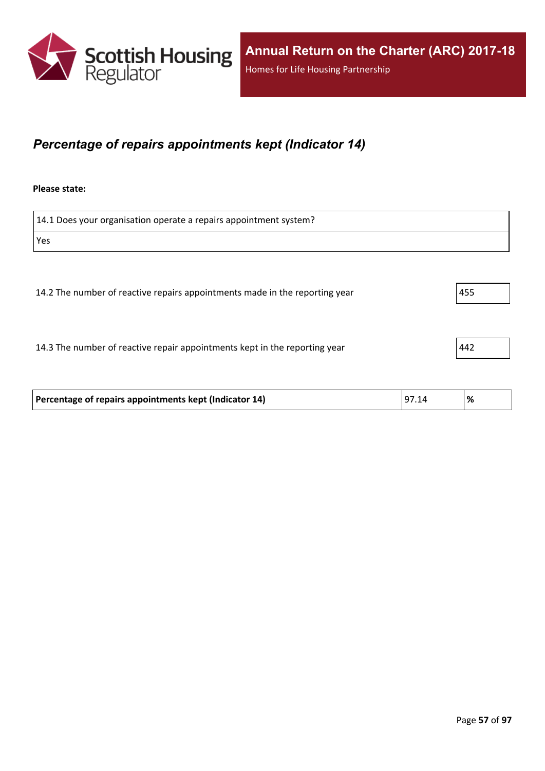

## *Percentage of repairs appointments kept (Indicator 14)*

#### **Please state:**

| 14.1 Does your organisation operate a repairs appointment system?           |     |
|-----------------------------------------------------------------------------|-----|
| Yes                                                                         |     |
|                                                                             |     |
| 14.2 The number of reactive repairs appointments made in the reporting year | 455 |
| 14.3 The number of reactive repair appointments kept in the reporting year  | 442 |

| Percentage of repairs appointments kept (Indicator 14) | 97.14 | % |
|--------------------------------------------------------|-------|---|
|                                                        |       |   |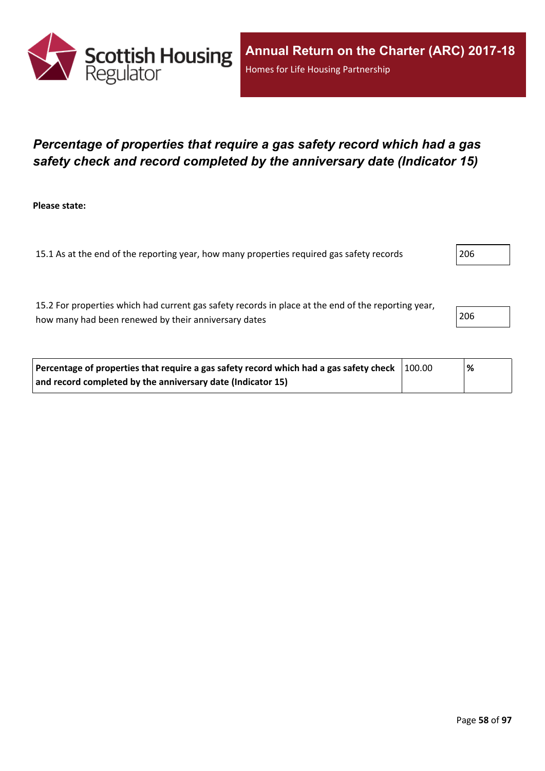

## *Percentage of properties that require a gas safety record which had a gas safety check and record completed by the anniversary date (Indicator 15)*

**Please state:**

15.1 As at the end of the reporting year, how many properties required gas safety records 206

15.2 For properties which had current gas safety records in place at the end of the reporting year, how many had been renewed by their anniversary dates 206

| Percentage of properties that require a gas safety record which had a gas safety check $\vert$ 100.00 |  | % |
|-------------------------------------------------------------------------------------------------------|--|---|
| and record completed by the anniversary date (Indicator 15)                                           |  |   |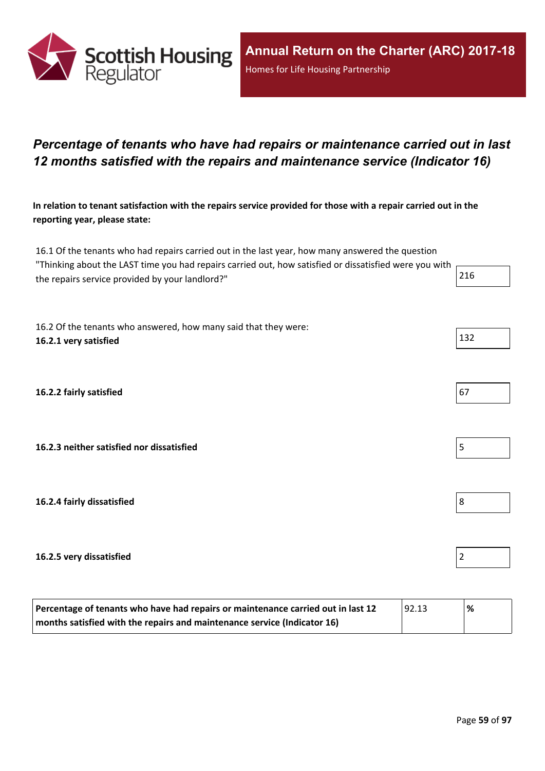

## *Percentage of tenants who have had repairs or maintenance carried out in last 12 months satisfied with the repairs and maintenance service (Indicator 16)*

In relation to tenant satisfaction with the repairs service provided for those with a repair carried out in the **reporting year, please state:**

16.1 Of the tenants who had repairs carried out in the last year, how many answered the question "Thinking about the LAST time you had repairs carried out, how satisfied or dissatisfied were you with the repairs service provided by your landlord?" 216

16.2 Of the tenants who answered, how many said that they were: **16.2.1 very satisfied** 132

**16.2.2 fairly satisfied** 67

**16.2.3 neither satisfied nor dissatisfied** 5

**16.2.4 fairly dissatisfied** 8

#### **16.2.5 very dissatisfied** 2

| Percentage of tenants who have had repairs or maintenance carried out in last 12<br> 92.13 |  | % |
|--------------------------------------------------------------------------------------------|--|---|
| months satisfied with the repairs and maintenance service (Indicator 16)                   |  |   |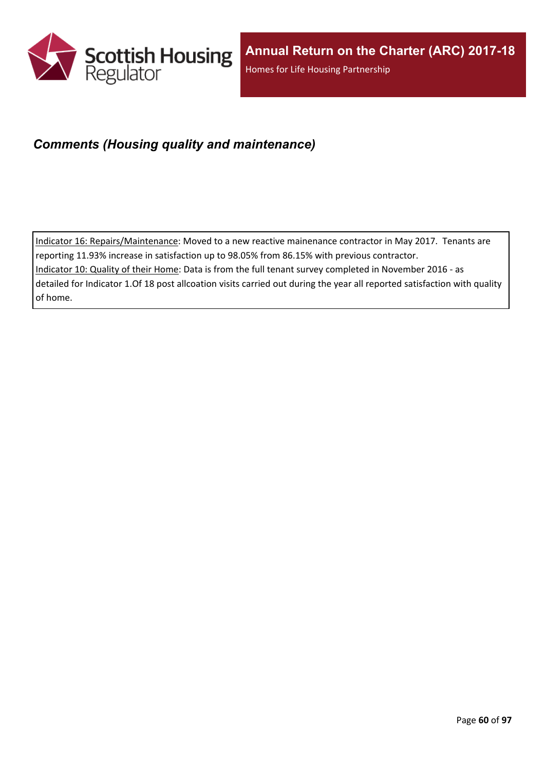

### *Comments (Housing quality and maintenance)*

Indicator 16: Repairs/Maintenance: Moved to a new reactive mainenance contractor in May 2017. Tenants are reporting 11.93% increase in satisfaction up to 98.05% from 86.15% with previous contractor.

Indicator 10: Quality of their Home: Data is from the full tenant survey completed in November 2016 - as detailed for Indicator 1.Of 18 post allcoation visits carried out during the year all reported satisfaction with quality

of home.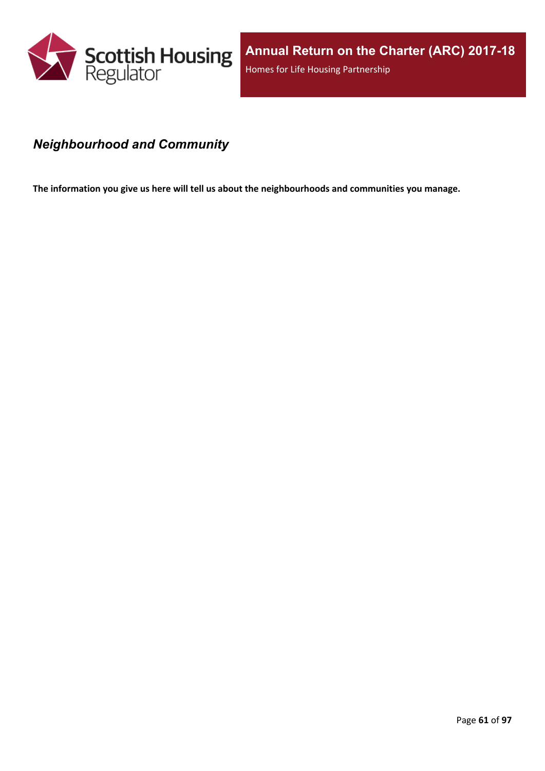

## *Neighbourhood and Community*

**The information you give us here will tell us about the neighbourhoods and communities you manage.**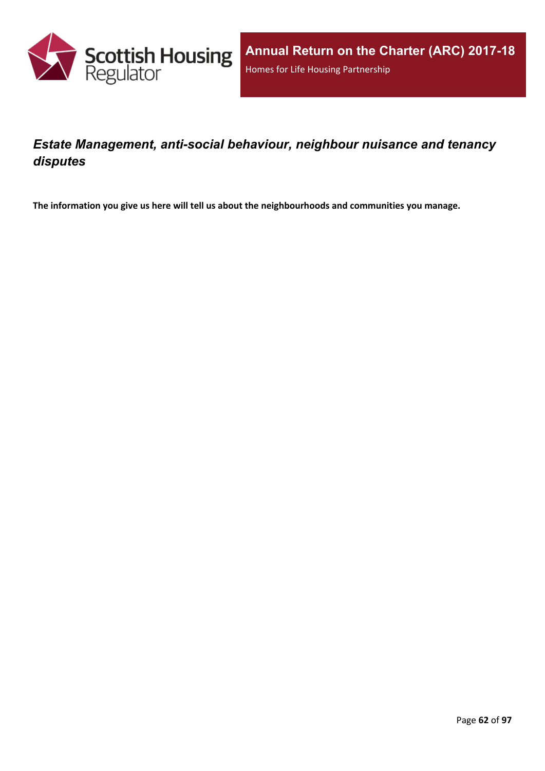

## *Estate Management, anti-social behaviour, neighbour nuisance and tenancy disputes*

**The information you give us here will tell us about the neighbourhoods and communities you manage.**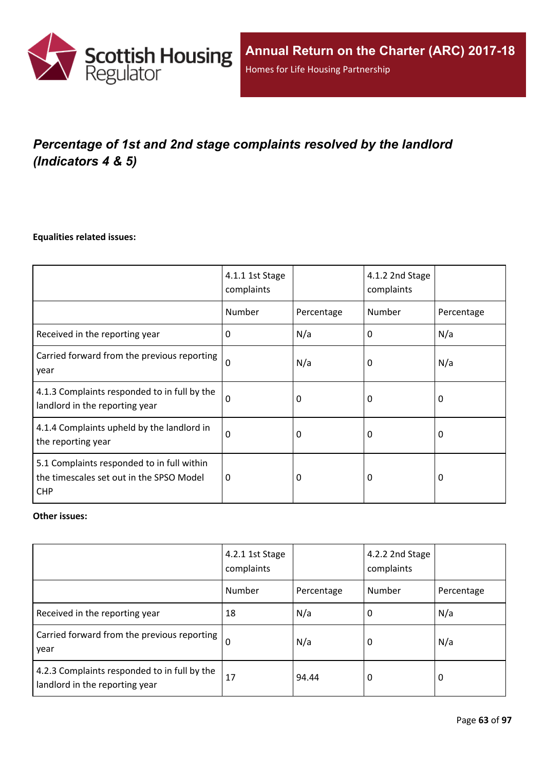

# *Percentage of 1st and 2nd stage complaints resolved by the landlord (Indicators 4 & 5)*

#### **Equalities related issues:**

|                                                                                                      | 4.1.1 1st Stage<br>complaints |            | 4.1.2 2nd Stage<br>complaints |            |
|------------------------------------------------------------------------------------------------------|-------------------------------|------------|-------------------------------|------------|
|                                                                                                      | Number                        | Percentage | Number                        | Percentage |
| Received in the reporting year                                                                       | $\Omega$                      | N/a        | 0                             | N/a        |
| Carried forward from the previous reporting<br>year                                                  | $\Omega$                      | N/a        | 0                             | N/a        |
| 4.1.3 Complaints responded to in full by the<br>landlord in the reporting year                       | $\Omega$                      | 0          | 0                             | 0          |
| 4.1.4 Complaints upheld by the landlord in<br>the reporting year                                     | 0                             | 0          | 0                             | 0          |
| 5.1 Complaints responded to in full within<br>the timescales set out in the SPSO Model<br><b>CHP</b> | 0                             | 0          | 0                             | $\Omega$   |

#### **Other issues:**

|                                                                                | 4.2.1 1st Stage<br>complaints |            | 4.2.2 2nd Stage<br>complaints |            |
|--------------------------------------------------------------------------------|-------------------------------|------------|-------------------------------|------------|
|                                                                                | Number                        | Percentage | Number                        | Percentage |
| Received in the reporting year                                                 | 18                            | N/a        | O                             | N/a        |
| Carried forward from the previous reporting  <br>year                          | $\Omega$                      | N/a        | 0                             | N/a        |
| 4.2.3 Complaints responded to in full by the<br>landlord in the reporting year | 17                            | 94.44      | 0                             | 0          |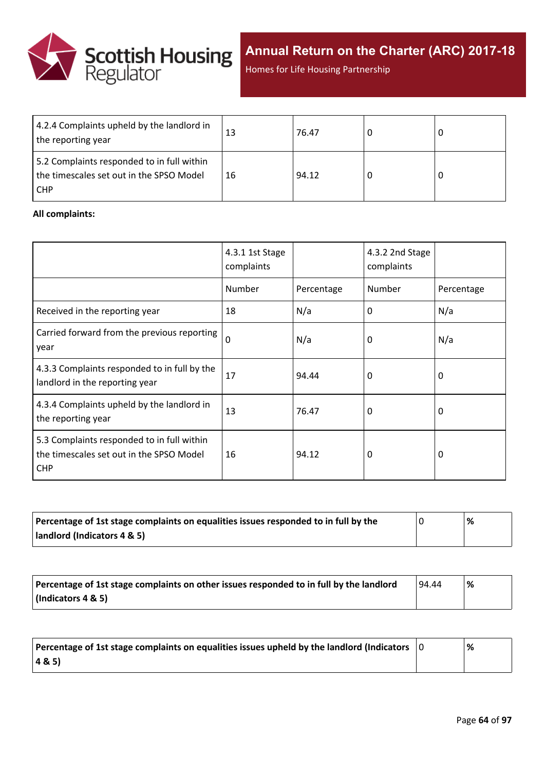

**Annual Return on the Charter (ARC) 2017-18**

Homes for Life Housing Partnership

| 4.2.4 Complaints upheld by the landlord in<br>the reporting year                                | 13 | 76.47 |  |
|-------------------------------------------------------------------------------------------------|----|-------|--|
| 5.2 Complaints responded to in full within<br>the timescales set out in the SPSO Model<br>I CHP | 16 | 94.12 |  |

#### **All complaints:**

|                                                                                                      | 4.3.1 1st Stage<br>complaints |            | 4.3.2 2nd Stage<br>complaints |            |
|------------------------------------------------------------------------------------------------------|-------------------------------|------------|-------------------------------|------------|
|                                                                                                      | Number                        | Percentage | Number                        | Percentage |
| Received in the reporting year                                                                       | 18                            | N/a        | 0                             | N/a        |
| Carried forward from the previous reporting<br>year                                                  | $\mathbf 0$                   | N/a        | 0                             | N/a        |
| 4.3.3 Complaints responded to in full by the<br>landlord in the reporting year                       | 17                            | 94.44      | 0                             | 0          |
| 4.3.4 Complaints upheld by the landlord in<br>the reporting year                                     | 13                            | 76.47      | 0                             | 0          |
| 5.3 Complaints responded to in full within<br>the timescales set out in the SPSO Model<br><b>CHP</b> | 16                            | 94.12      | 0                             | 0          |

| Percentage of 1st stage complaints on equalities issues responded to in full by the | '% |
|-------------------------------------------------------------------------------------|----|
| landlord (Indicators 4 & 5)                                                         |    |

| Percentage of 1st stage complaints on other issues responded to in full by the landlord | 94.44 | % |
|-----------------------------------------------------------------------------------------|-------|---|
| (Indicators 4 & 5)                                                                      |       |   |

| Percentage of 1st stage complaints on equalities issues upheld by the landlord (Indicators $\vert$ 0 | % |
|------------------------------------------------------------------------------------------------------|---|
| (48.5)                                                                                               |   |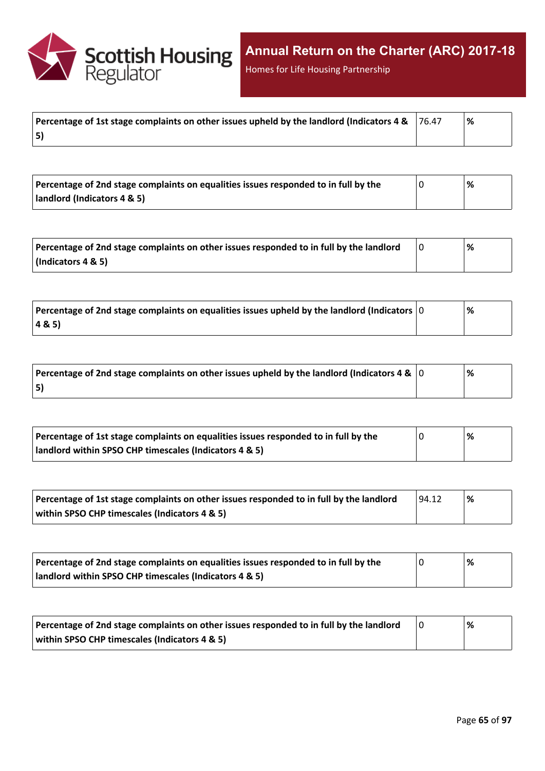

Homes for Life Housing Partnership

| Percentage of 1st stage complaints on other issues upheld by the landlord (Indicators 4 & $\,$ 76.47 | ∣% |
|------------------------------------------------------------------------------------------------------|----|
| 5)                                                                                                   |    |

| Percentage of 2nd stage complaints on equalities issues responded to in full by the | '% |
|-------------------------------------------------------------------------------------|----|
| landlord (Indicators 4 & 5)                                                         |    |

| Percentage of 2nd stage complaints on other issues responded to in full by the landlord | % |
|-----------------------------------------------------------------------------------------|---|
| $\vert$ (Indicators 4 & 5)                                                              |   |

| Percentage of 2nd stage complaints on equalities issues upheld by the landlord (Indicators $ 0 $ | % |
|--------------------------------------------------------------------------------------------------|---|
| 48.5                                                                                             |   |

| Percentage of 2nd stage complaints on other issues upheld by the landlord (Indicators 4 & $\vert$ 0 | % |  |
|-----------------------------------------------------------------------------------------------------|---|--|
| 5)                                                                                                  |   |  |

| Percentage of 1st stage complaints on equalities issues responded to in full by the | % |
|-------------------------------------------------------------------------------------|---|
| landlord within SPSO CHP timescales (Indicators 4 & 5)                              |   |

| Percentage of 1st stage complaints on other issues responded to in full by the landlord | 94.12 | % |
|-----------------------------------------------------------------------------------------|-------|---|
| within SPSO CHP timescales (Indicators 4 & 5)                                           |       |   |

| Percentage of 2nd stage complaints on equalities issues responded to in full by the | % |
|-------------------------------------------------------------------------------------|---|
| landlord within SPSO CHP timescales (Indicators 4 & 5)                              |   |

| Percentage of 2nd stage complaints on other issues responded to in full by the landlord | % |
|-----------------------------------------------------------------------------------------|---|
| within SPSO CHP timescales (Indicators 4 & 5)                                           |   |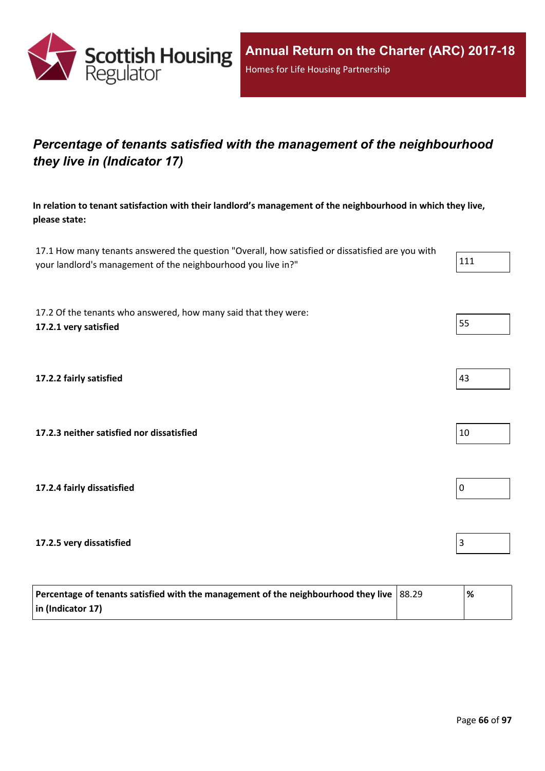

## *Percentage of tenants satisfied with the management of the neighbourhood they live in (Indicator 17)*

**In relation to tenant satisfaction with their landlord's management of the neighbourhood in which they live, please state:**

17.1 How many tenants answered the question "Overall, how satisfied or dissatisfied are you with your landlord's management of the neighbourhood you live in?" 111

17.2 Of the tenants who answered, how many said that they were: **17.2.1 very satisfied** 55

**17.2.2 fairly satisfied** 43

**17.2.3 neither satisfied nor dissatisfied** 10

**17.2.4 fairly dissatisfied** 0

**17.2.5 very dissatisfied** 3

| Percentage of tenants satisfied with the management of the neighbourhood they live $ 88.29 $ | '% |
|----------------------------------------------------------------------------------------------|----|
| $\vert$ in (Indicator 17)                                                                    |    |

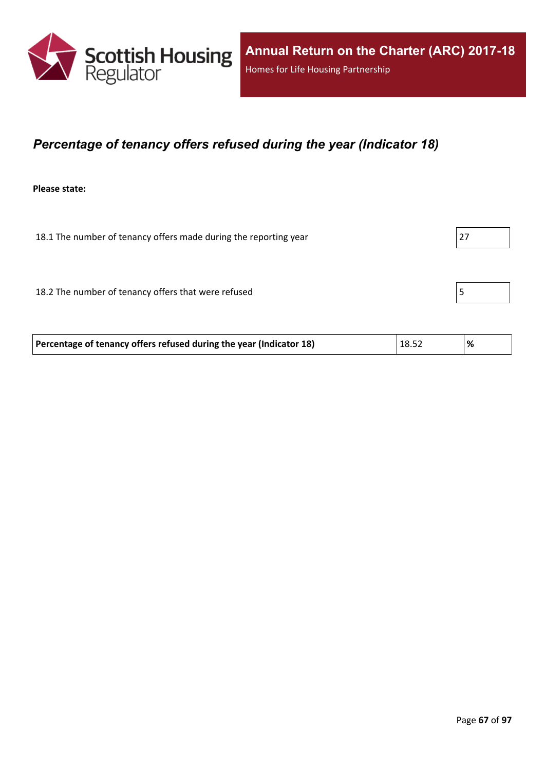

## *Percentage of tenancy offers refused during the year (Indicator 18)*

**Please state:**

18.1 The number of tenancy offers made during the reporting year 27

18.2 The number of tenancy offers that were refused 5

|  | Percentage of tenancy offers refused during the year (Indicator 18) | 18.52 |  |
|--|---------------------------------------------------------------------|-------|--|
|--|---------------------------------------------------------------------|-------|--|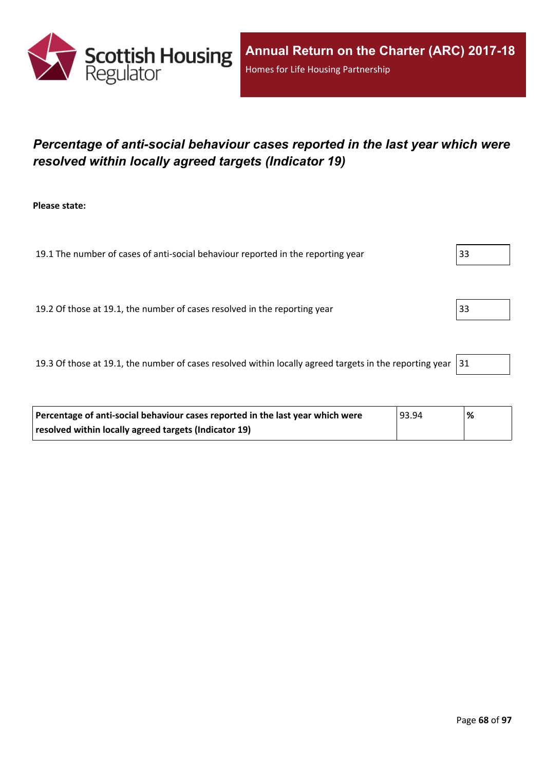

## *Percentage of anti-social behaviour cases reported in the last year which were resolved within locally agreed targets (Indicator 19)*

**Please state:**

19.1 The number of cases of anti-social behaviour reported in the reporting year 33 19.2 Of those at 19.1, the number of cases resolved in the reporting year 33

19.3 Of those at 19.1, the number of cases resolved within locally agreed targets in the reporting year  $|31|$ 

| Percentage of anti-social behaviour cases reported in the last year which were | 93.94 | '% |
|--------------------------------------------------------------------------------|-------|----|
| resolved within locally agreed targets (Indicator 19)                          |       |    |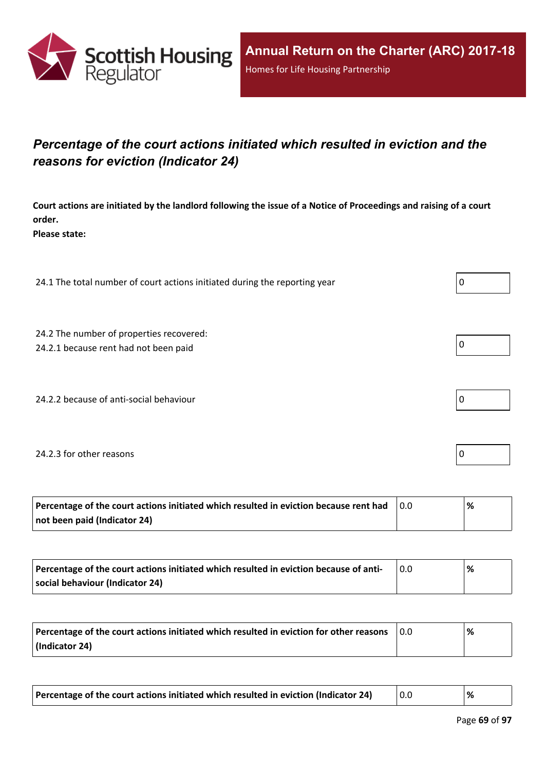

## *Percentage of the court actions initiated which resulted in eviction and the reasons for eviction (Indicator 24)*

Court actions are initiated by the landlord following the issue of a Notice of Proceedings and raising of a court **order.**

**Please state:**

24.1 The total number of court actions initiated during the reporting year  $\vert 0 \rangle$ 

24.2 The number of properties recovered:

24.2.1 because rent had not been paid  $\vert 0 \vert$ 

24.2.2 because of anti-social behaviour  $\vert 0 \rangle$ 

#### 24.2.3 for other reasons  $\vert$  0

| Percentage of the court actions initiated which resulted in eviction because rent had | ℅ |
|---------------------------------------------------------------------------------------|---|
| not been paid (Indicator 24)                                                          |   |

| Percentage of the court actions initiated which resulted in eviction because of anti- | % |
|---------------------------------------------------------------------------------------|---|
| social behaviour (Indicator 24)                                                       |   |

| Percentage of the court actions initiated which resulted in eviction for other reasons | 0.0 | % |
|----------------------------------------------------------------------------------------|-----|---|
| (Indicator 24)                                                                         |     |   |

| Percentage of the court actions initiated which resulted in eviction (Indicator 24) |  |  |
|-------------------------------------------------------------------------------------|--|--|
|-------------------------------------------------------------------------------------|--|--|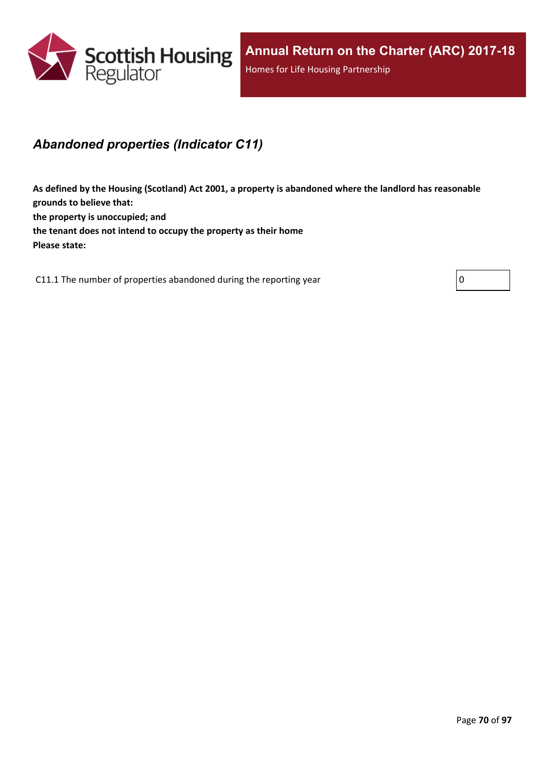

## *Abandoned properties (Indicator C11)*

**As defined by the Housing (Scotland) Act 2001, a property is abandoned where the landlord has reasonable grounds to believe that: the property is unoccupied; and the tenant does not intend to occupy the property as their home Please state:**

C11.1 The number of properties abandoned during the reporting year  $\vert 0 \vert$ 

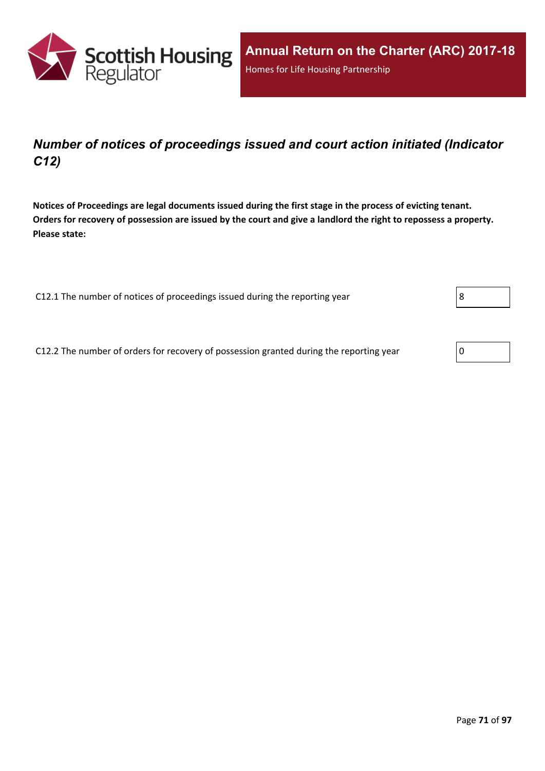

## *Number of notices of proceedings issued and court action initiated (Indicator C12)*

Notices of Proceedings are legal documents issued during the first stage in the process of evicting tenant. Orders for recovery of possession are issued by the court and give a landlord the right to repossess a property. **Please state:**

C12.1 The number of notices of proceedings issued during the reporting year

C12.2 The number of orders for recovery of possession granted during the reporting year

| ٠ |  |  |
|---|--|--|
|   |  |  |

| 0 |  |
|---|--|
|---|--|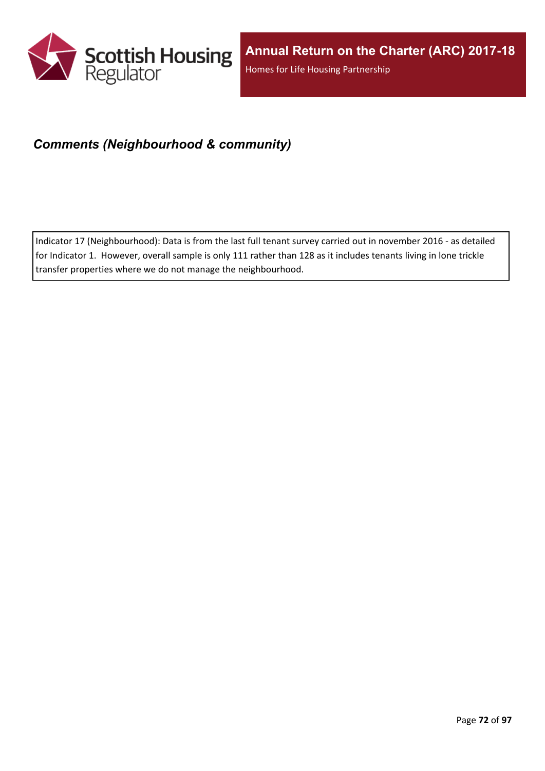

## *Comments (Neighbourhood & community)*

Indicator 17 (Neighbourhood): Data is from the last full tenant survey carried out in november 2016 - as detailed for Indicator 1. However, overall sample is only 111 rather than 128 as it includes tenants living in lone trickle transfer properties where we do not manage the neighbourhood.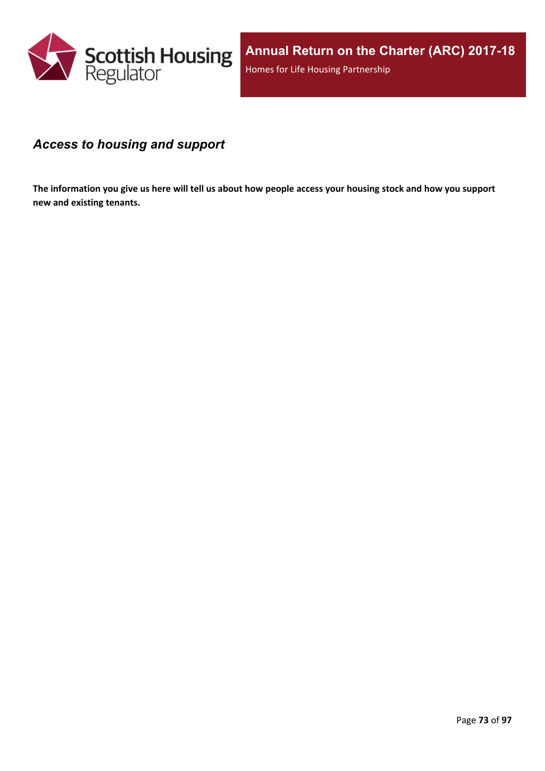

### *Access to housing and support*

The information you give us here will tell us about how people access your housing stock and how you support **new and existing tenants.**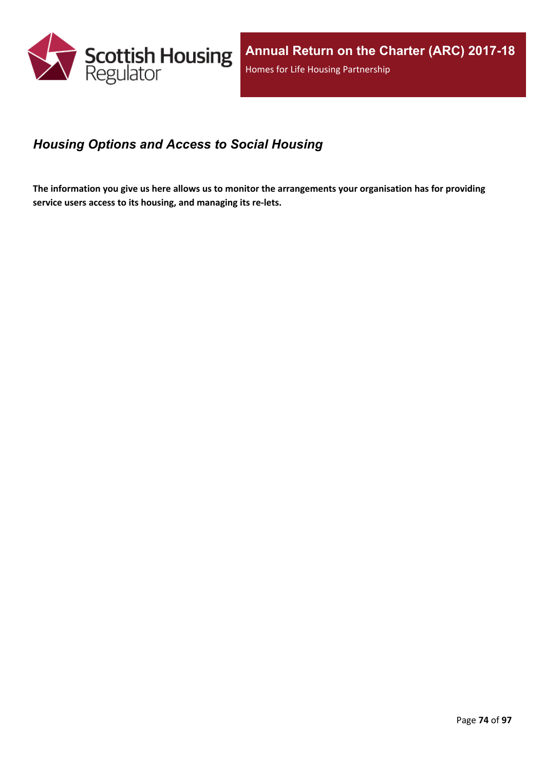

## *Housing Options and Access to Social Housing*

The information you give us here allows us to monitor the arrangements your organisation has for providing **service users access to its housing, and managing its re-lets.**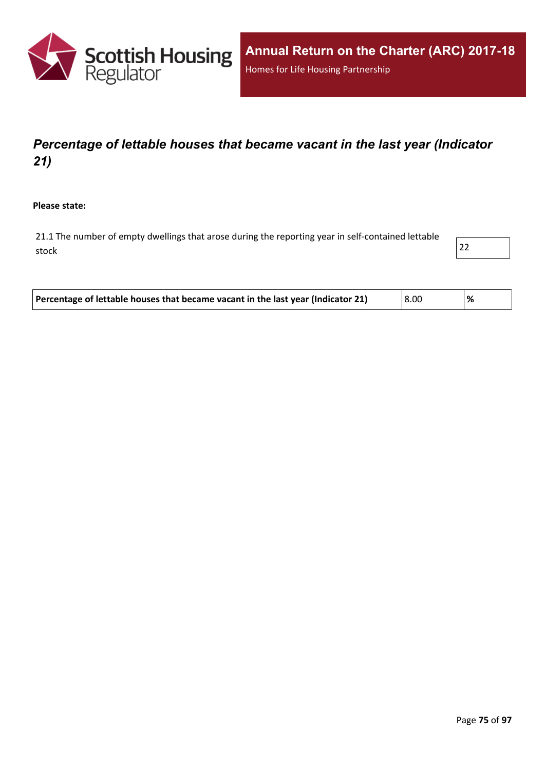

# *Percentage of lettable houses that became vacant in the last year (Indicator 21)*

**Please state:**

21.1 The number of empty dwellings that arose during the reporting year in self-contained lettable stock and the contract of  $\vert$  22  $\vert$ 



| Percentage of lettable houses that became vacant in the last year (Indicator 21) | 8.00 |  |
|----------------------------------------------------------------------------------|------|--|
|----------------------------------------------------------------------------------|------|--|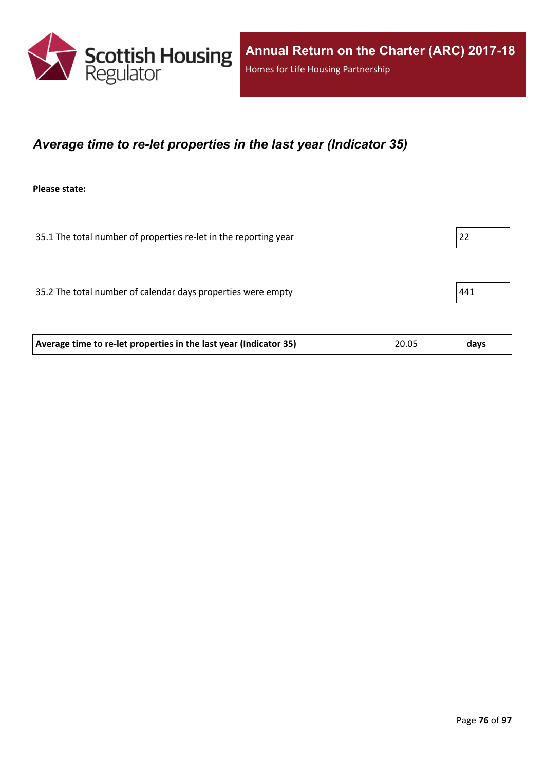

### *Average time to re-let properties in the last year (Indicator 35)*

**Please state:**

35.1 The total number of properties re-let in the reporting year 22

35.2 The total number of calendar days properties were empty  $|441 \rangle$ 

| 20.05<br>Average time to re-let properties in the last year (Indicator 35) | ∣ days |
|----------------------------------------------------------------------------|--------|
|----------------------------------------------------------------------------|--------|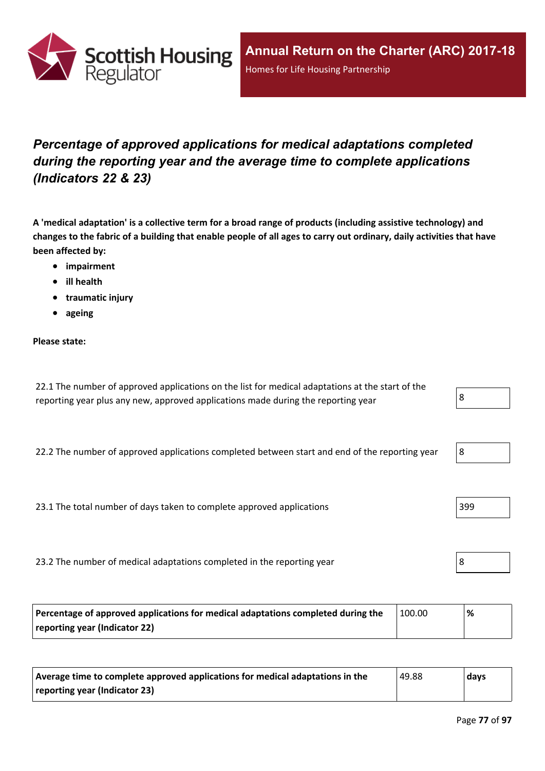

# *Percentage of approved applications for medical adaptations completed during the reporting year and the average time to complete applications (Indicators 22 & 23)*

A 'medical adaptation' is a collective term for a broad range of products (including assistive technology) and changes to the fabric of a building that enable people of all ages to carry out ordinary, daily activities that have **been affected by:**

- **impairment**
- **ill health**
- **traumatic injury**
- **ageing**

#### **Please state:**

| 22.1 The number of approved applications on the list for medical adaptations at the start of the |  |
|--------------------------------------------------------------------------------------------------|--|
| reporting year plus any new, approved applications made during the reporting year                |  |

22.2 The number of approved applications completed between start and end of the reporting year

23.1 The total number of days taken to complete approved applications 399

23.2 The number of medical adaptations completed in the reporting year 8

| Percentage of approved applications for medical adaptations completed during the | 100.00 | % |
|----------------------------------------------------------------------------------|--------|---|
| reporting year (Indicator 22)                                                    |        |   |

| Average time to complete approved applications for medical adaptations in the | 49.88 | days |
|-------------------------------------------------------------------------------|-------|------|
| reporting year (Indicator 23)                                                 |       |      |

| -92 |
|-----|
|-----|

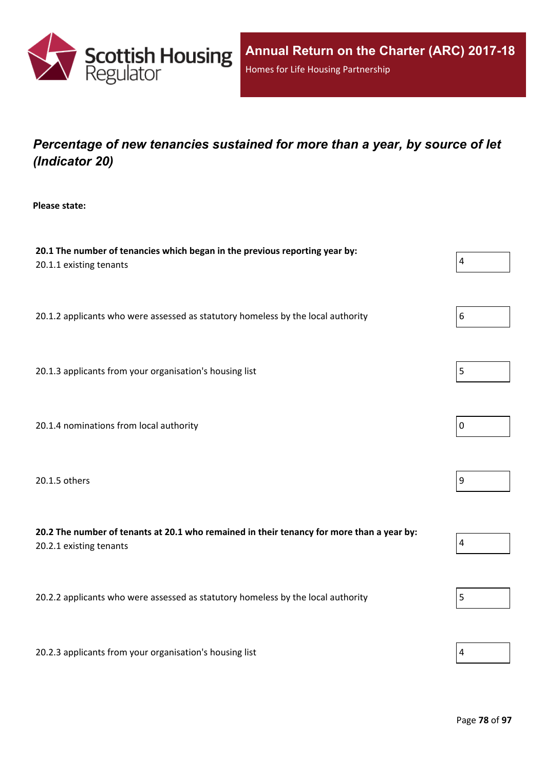

# *Percentage of new tenancies sustained for more than a year, by source of let (Indicator 20)*

**Please state:**

| 20.1 The number of tenancies which began in the previous reporting year by:<br>20.1.1 existing tenants               | $\overline{4}$          |
|----------------------------------------------------------------------------------------------------------------------|-------------------------|
| 20.1.2 applicants who were assessed as statutory homeless by the local authority                                     | 6                       |
| 20.1.3 applicants from your organisation's housing list                                                              | 5                       |
| 20.1.4 nominations from local authority                                                                              | $\pmb{0}$               |
| 20.1.5 others                                                                                                        | $9\,$                   |
| 20.2 The number of tenants at 20.1 who remained in their tenancy for more than a year by:<br>20.2.1 existing tenants | $\overline{\mathbf{4}}$ |
| 20.2.2 applicants who were assessed as statutory homeless by the local authority                                     | 5                       |
| 20.2.3 applicants from your organisation's housing list                                                              | 4                       |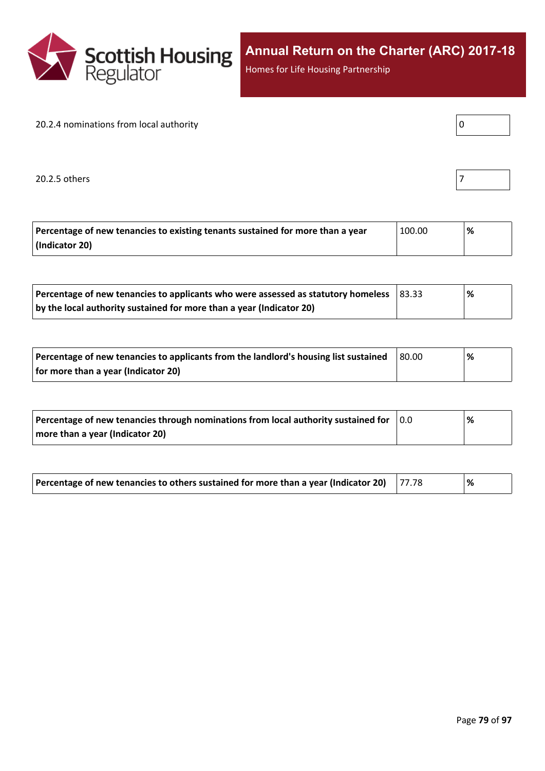

Homes for Life Housing Partnership

#### 20.2.4 nominations from local authority

20.2.5 others  $\vert$  7

| Percentage of new tenancies to existing tenants sustained for more than a year | 100.00 | % |
|--------------------------------------------------------------------------------|--------|---|
| (Indicator 20)                                                                 |        |   |

| Percentage of new tenancies to applicants who were assessed as statutory homeless | $ 83.33\rangle$ | % |
|-----------------------------------------------------------------------------------|-----------------|---|
| by the local authority sustained for more than a year (Indicator 20)              |                 |   |

| Percentage of new tenancies to applicants from the landlord's housing list sustained | 80.00 | % |
|--------------------------------------------------------------------------------------|-------|---|
| for more than a year (Indicator 20)                                                  |       |   |

| Percentage of new tenancies through nominations from local authority sustained for | 10.O | % |
|------------------------------------------------------------------------------------|------|---|
| more than a year (Indicator 20)                                                    |      |   |

| Percentage of new tenancies to others sustained for more than a year (Indicator 20) $\vert$ 77.78 |  |  | % |  |
|---------------------------------------------------------------------------------------------------|--|--|---|--|
|---------------------------------------------------------------------------------------------------|--|--|---|--|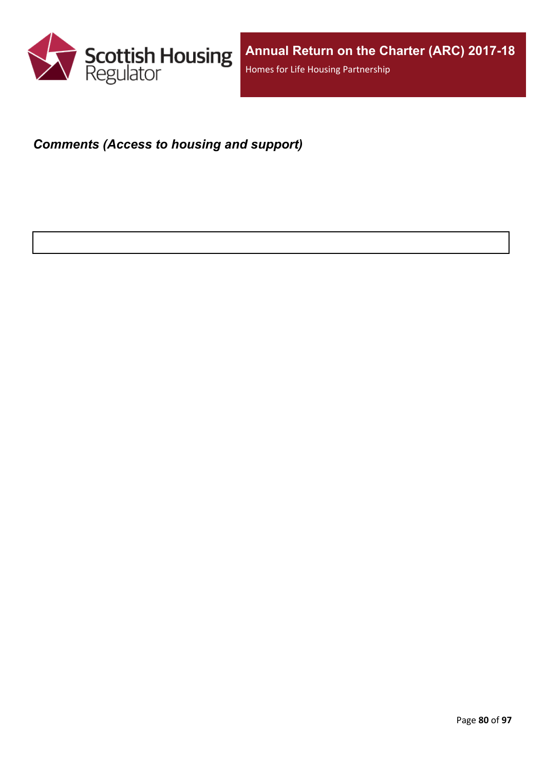

## *Comments (Access to housing and support)*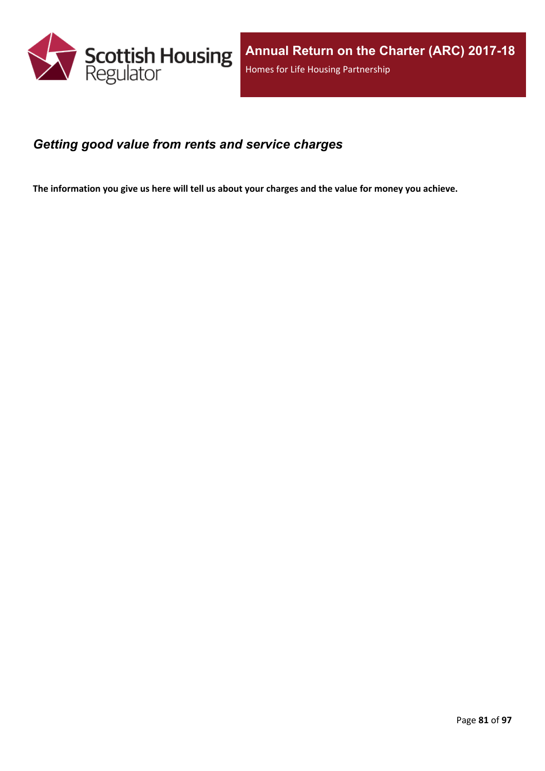

### *Getting good value from rents and service charges*

The information you give us here will tell us about your charges and the value for money you achieve.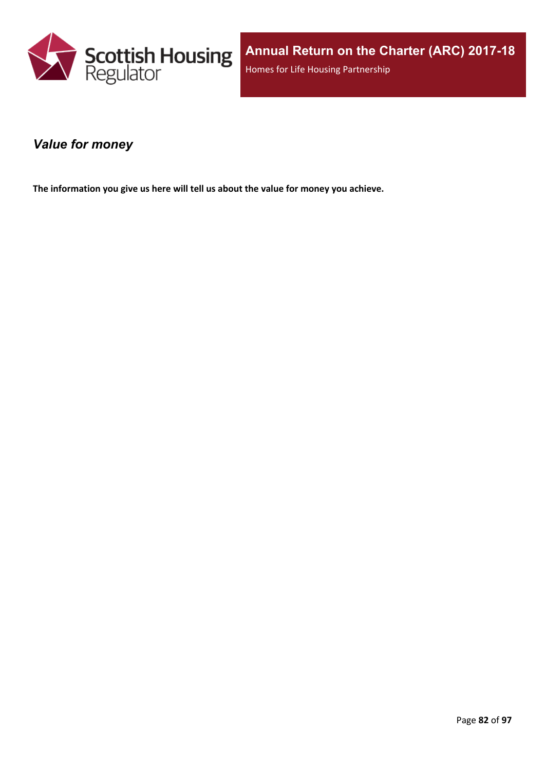

### *Value for money*

**The information you give us here will tell us about the value for money you achieve.**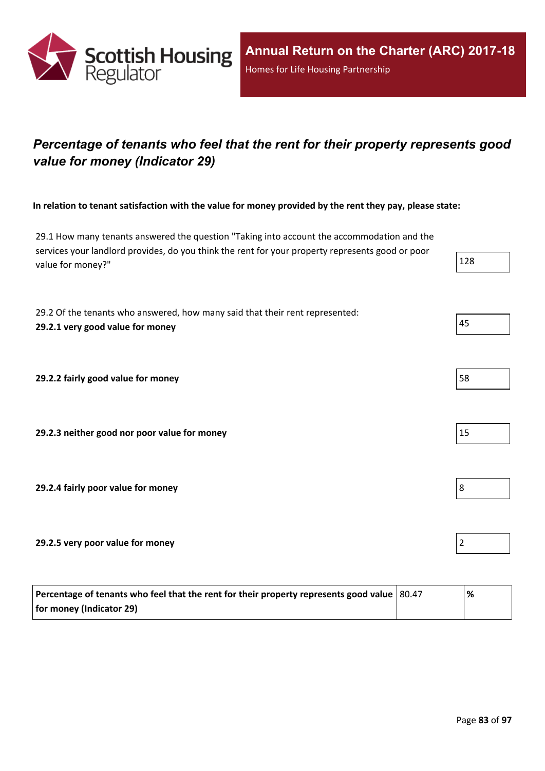

# *Percentage of tenants who feel that the rent for their property represents good value for money (Indicator 29)*

In relation to tenant satisfaction with the value for money provided by the rent they pay, please state:

29.1 How many tenants answered the question "Taking into account the accommodation and the services your landlord provides, do you think the rent for your property represents good or poor value for money?" 128

29.2 Of the tenants who answered, how many said that their rent represented: **29.2.1 very good value for money** 45

**29.2.2 fairly good value for money** 58

**29.2.3 neither good nor poor value for money** 15

**29.2.4 fairly poor value for money** 8

**29.2.5 very poor value for money** 2

| Percentage of tenants who feel that the rent for their property represents good value $ 80.47 $ | '% |
|-------------------------------------------------------------------------------------------------|----|
| for money (Indicator 29)                                                                        |    |

- 
- 
- 
-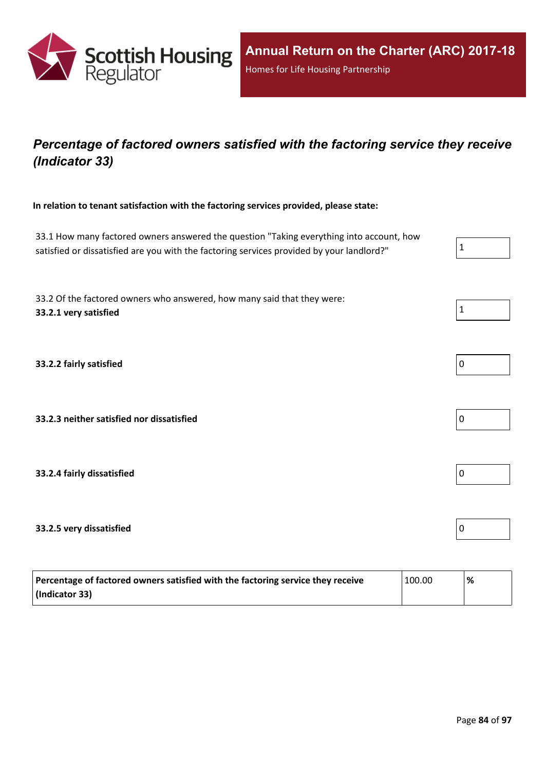

# *Percentage of factored owners satisfied with the factoring service they receive (Indicator 33)*

**In relation to tenant satisfaction with the factoring services provided, please state:**

33.1 How many factored owners answered the question "Taking everything into account, how satisfied or dissatisfied are you with the factoring services provided by your landlord?"

33.2 Of the factored owners who answered, how many said that they were: **33.2.1 very satisfied** 1

**33.2.2 fairly satisfied** 0

**33.2.3 neither satisfied nor dissatisfied** 0

**33.2.4 fairly dissatisfied** 0

### **33.2.5 very dissatisfied** 0

| Percentage of factored owners satisfied with the factoring service they receive | 100.00 | '% |
|---------------------------------------------------------------------------------|--------|----|
| (Indicator 33)                                                                  |        |    |



| O |  |  |  |
|---|--|--|--|
|   |  |  |  |



| 0 |  |  |  |
|---|--|--|--|
|   |  |  |  |

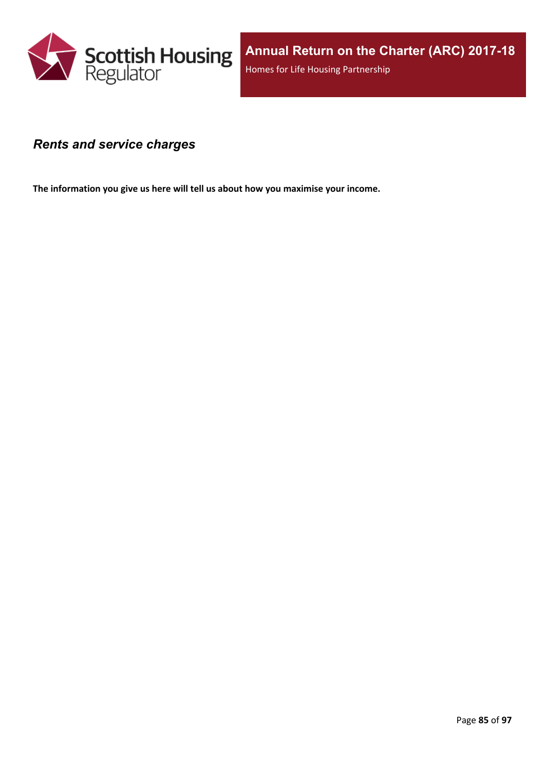

### *Rents and service charges*

**The information you give us here will tell us about how you maximise your income.**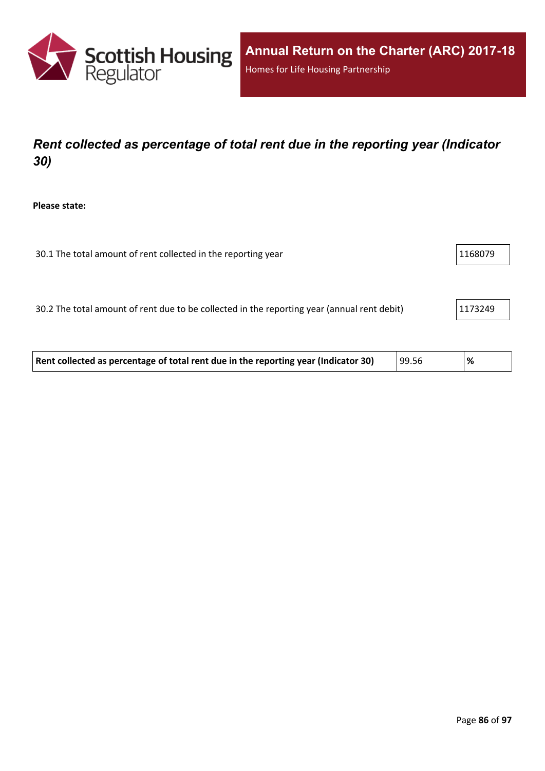

# *Rent collected as percentage of total rent due in the reporting year (Indicator 30)*

**Please state:**

| 30.1 The total amount of rent collected in the reporting year | 1168079 |
|---------------------------------------------------------------|---------|
|                                                               |         |

30.2 The total amount of rent due to be collected in the reporting year (annual rent debit) 1173249

| Rent collected as percentage of total rent due in the reporting year (Indicator 30) | 99.56 | % |  |
|-------------------------------------------------------------------------------------|-------|---|--|
|-------------------------------------------------------------------------------------|-------|---|--|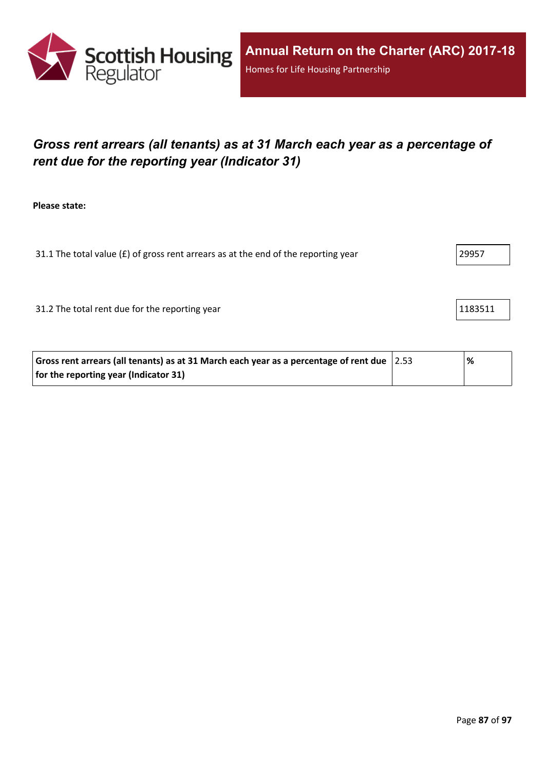

# *Gross rent arrears (all tenants) as at 31 March each year as a percentage of rent due for the reporting year (Indicator 31)*

**Please state:**

31.1 The total value ( $f$ ) of gross rent arrears as at the end of the reporting year 29957

31.2 The total rent due for the reporting year 1183511 and 1183511

| Gross rent arrears (all tenants) as at 31 March each year as a percentage of rent due $ 2.53 $ | % |
|------------------------------------------------------------------------------------------------|---|
| for the reporting year (Indicator 31)                                                          |   |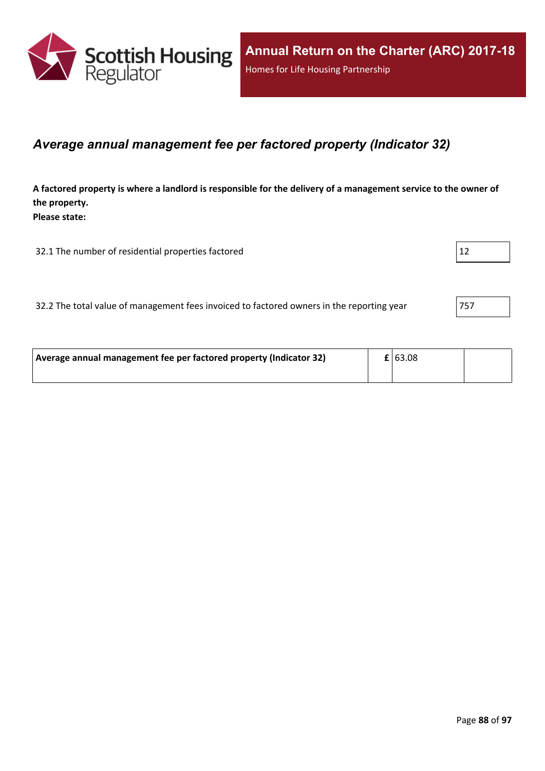

### *Average annual management fee per factored property (Indicator 32)*

A factored property is where a landlord is responsible for the delivery of a management service to the owner of **the property. Please state:**

32.1 The number of residential properties factored 12

| 32.2 The total value of management fees invoiced to factored owners in the reporting year | 757 |
|-------------------------------------------------------------------------------------------|-----|
|-------------------------------------------------------------------------------------------|-----|

| Average annual management fee per factored property (Indicator 32) |  | $\mathbf{E}$ 63.08 |  |
|--------------------------------------------------------------------|--|--------------------|--|
|                                                                    |  |                    |  |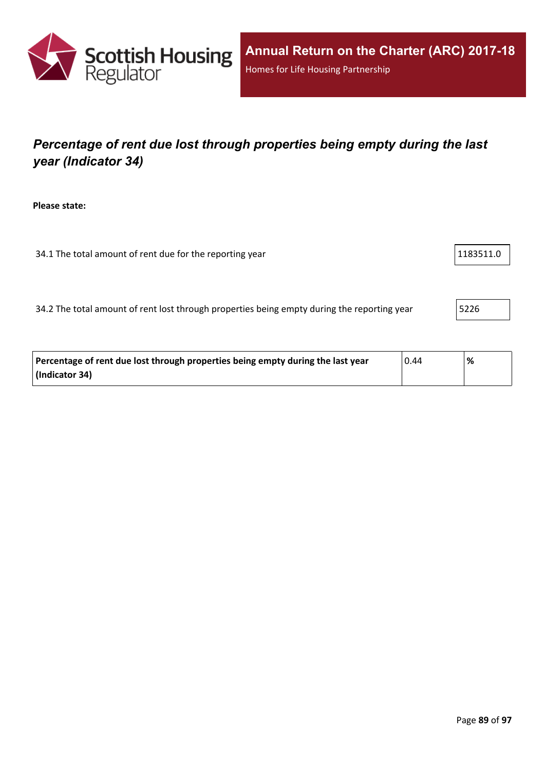

# *Percentage of rent due lost through properties being empty during the last year (Indicator 34)*

**Please state:**

34.1 The total amount of rent due for the reporting year 1183511.0

34.2 The total amount of rent lost through properties being empty during the reporting year | 5226

| Percentage of rent due lost through properties being empty during the last year | 0.44 | '% |
|---------------------------------------------------------------------------------|------|----|
| (Indicator 34)                                                                  |      |    |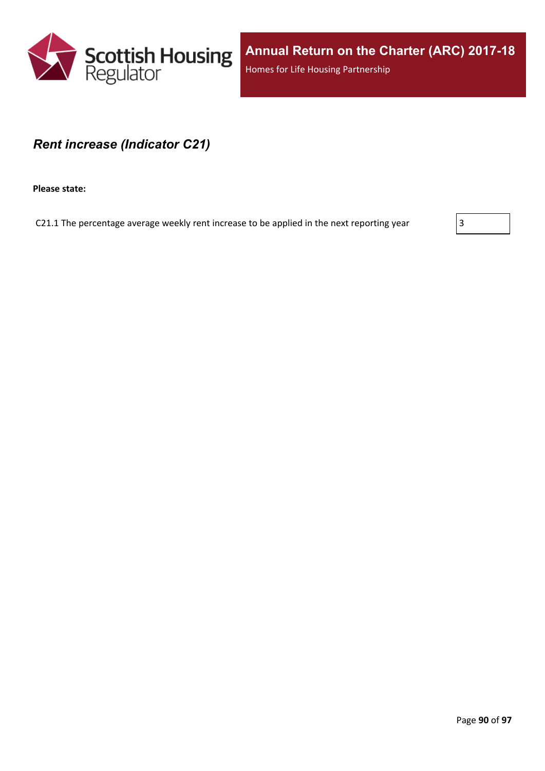

**Annual Return on the Charter (ARC) 2017-18** Homes for Life Housing Partnership

### *Rent increase (Indicator C21)*

**Please state:**

C21.1 The percentage average weekly rent increase to be applied in the next reporting year  $\vert$  3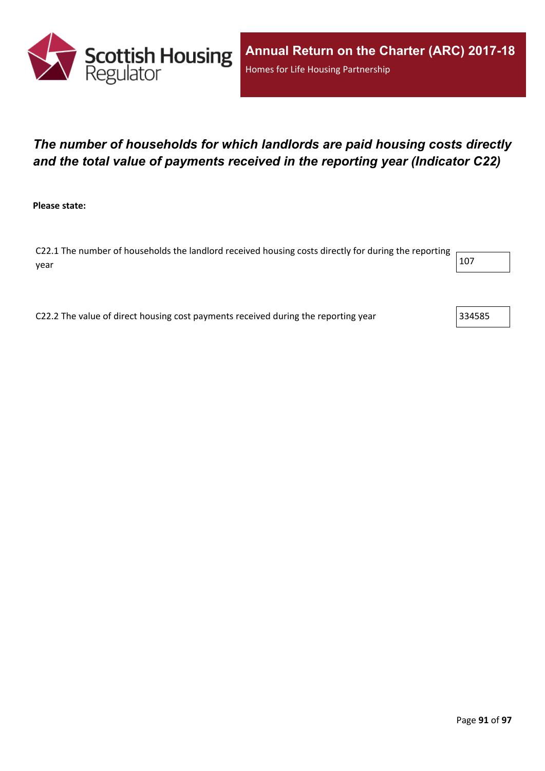

# *The number of households for which landlords are paid housing costs directly and the total value of payments received in the reporting year (Indicator C22)*

**Please state:**

C22.1 The number of households the landlord received housing costs directly for during the reporting year  $\vert$  107  $\vert$ 

C22.2 The value of direct housing cost payments received during the reporting year  $\vert$ 334585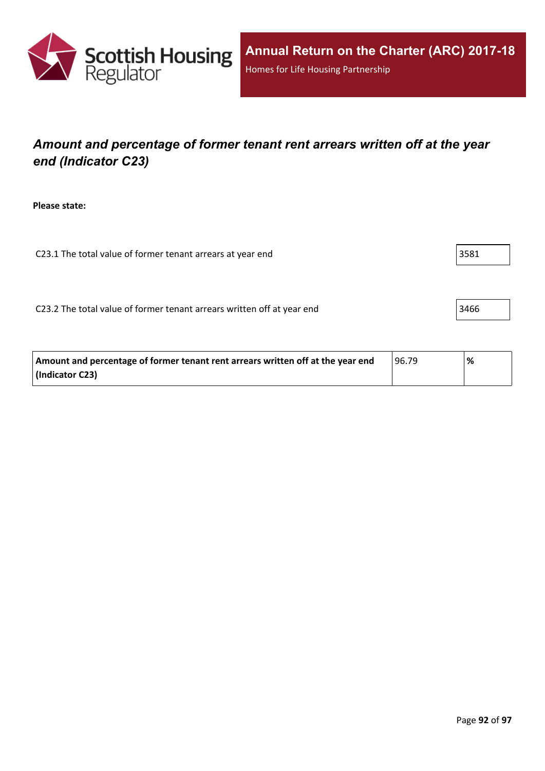

# *Amount and percentage of former tenant rent arrears written off at the year end (Indicator C23)*

**Please state:**

C23.1 The total value of former tenant arrears at year end  $|3581|$ 

C23.2 The total value of former tenant arrears written off at year end  $\vert$ 3466

| Amount and percentage of former tenant rent arrears written off at the year end | 96.79 | % |
|---------------------------------------------------------------------------------|-------|---|
| (Indicator C23)                                                                 |       |   |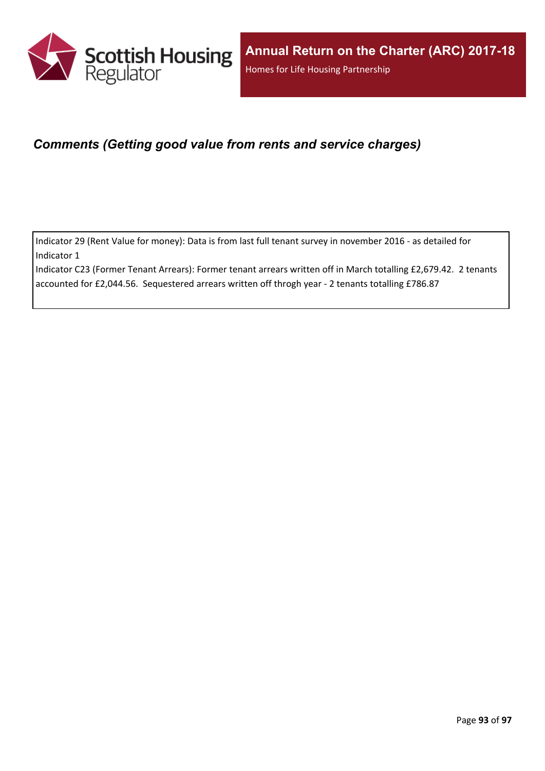

## *Comments (Getting good value from rents and service charges)*

Indicator 29 (Rent Value for money): Data is from last full tenant survey in november 2016 - as detailed for Indicator 1

Indicator C23 (Former Tenant Arrears): Former tenant arrears written off in March totalling £2,679.42. 2 tenants accounted for £2,044.56. Sequestered arrears written off throgh year - 2 tenants totalling £786.87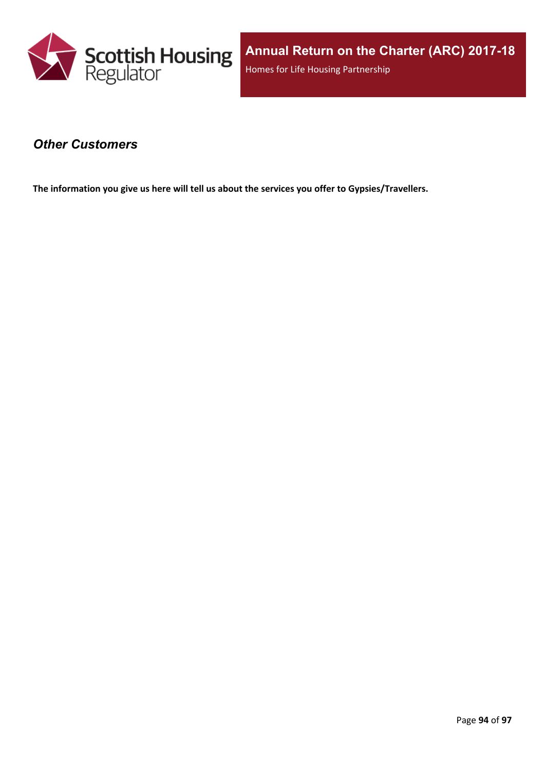

### *Other Customers*

**The information you give us here will tell us about the services you offer to Gypsies/Travellers.**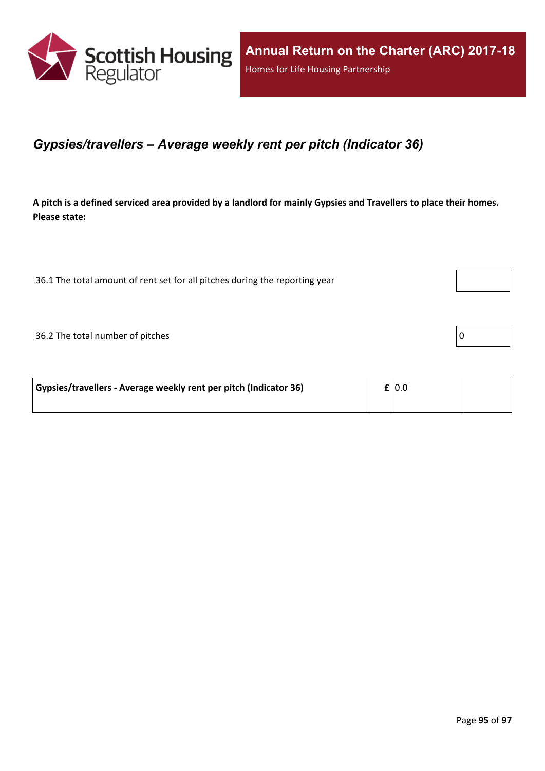

### *Gypsies/travellers – Average weekly rent per pitch (Indicator 36)*

A pitch is a defined serviced area provided by a landlord for mainly Gypsies and Travellers to place their homes. **Please state:**

36.1 The total amount of rent set for all pitches during the reporting year

 $36.2$  The total number of pitches  $\boxed{0}$ 

| Gypsies/travellers - Average weekly rent per pitch (Indicator 36) | $\mathbf{f}$   0.0 |  |
|-------------------------------------------------------------------|--------------------|--|
|                                                                   |                    |  |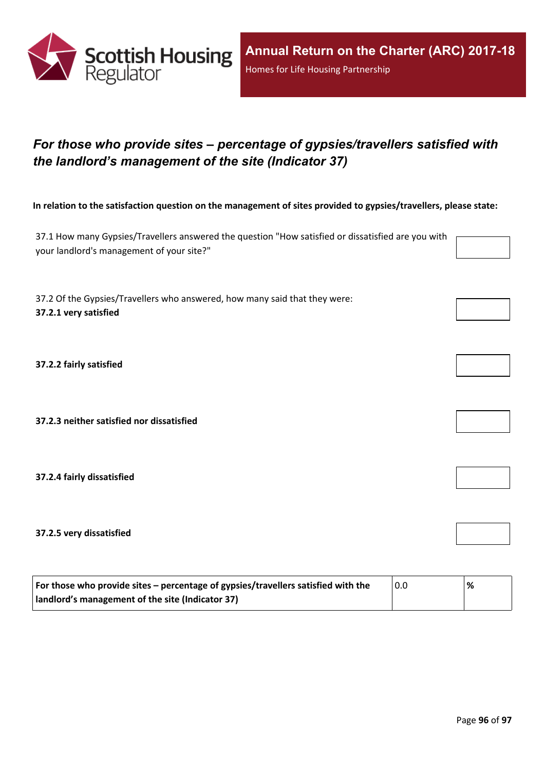

# *For those who provide sites – percentage of gypsies/travellers satisfied with the landlord's management of the site (Indicator 37)*

In relation to the satisfaction question on the management of sites provided to gypsies/travellers, please state:

37.1 How many Gypsies/Travellers answered the question "How satisfied or dissatisfied are you with your landlord's management of your site?"

37.2 Of the Gypsies/Travellers who answered, how many said that they were: **37.2.1 very satisfied**

**37.2.2 fairly satisfied**

**37.2.3 neither satisfied nor dissatisfied**

**37.2.4 fairly dissatisfied**

**37.2.5 very dissatisfied**

| For those who provide sites – percentage of gypsies/travellers satisfied with the | 0.0 | % |
|-----------------------------------------------------------------------------------|-----|---|
| I landlord's management of the site (Indicator 37)                                |     |   |